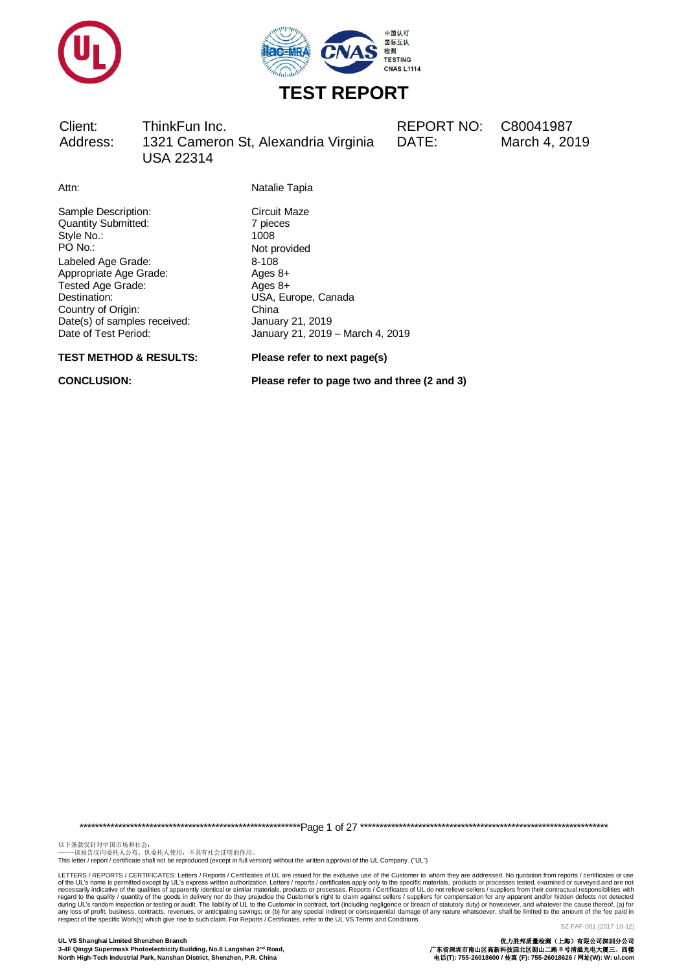



Client: ThinkFun Inc. REPORT NO: C80041987 Address: 1321 Cameron St, Alexandria Virginia USA 22314

DATE: March 4, 2019

Attn: Natalie Tapia

Sample Description: Circuit Maze<br>
Quantity Submitted: 7 pieces Quantity Submitted: 7 pieces 7 pieces 7 pieces 7 pieces 7 pieces 7 pieces 7 pieces 7 pieces 7 pieces 7 pieces 7 pieces 7 pieces 7 pieces 7 pieces 7 pieces 7 pieces 7 pieces 7 pieces 7 pieces 7 pieces 7 pieces 7 pieces 7 pi Style No.:<br>PO No.: Labeled Age Grade: 8-108<br>Appropriate Age Grade: 8-108 Appropriate Age Grade: Ages 8+<br>Tested Age Grade: Ages 8+ Tested Age Grade: Destination: USA, Europe, Canada Country of Origin: China<br>
Date(s) of samples received: January 21, 2019 Date(s) of samples received:<br>Date of Test Period:

**TEST METHOD & RESULTS: Please refer to next page(s)**

Not provided January 21, 2019 – March 4, 2019

**CONCLUSION: Please refer to page two and three (2 and 3)**

\*\*\*\*\*\*\*\*\*\*\*\*\*\*\*\*\*\*\*\*\*\*\*\*\*\*\*\*\*\*\*\*\*\*\*\*\*\*\*\*\*\*\*\*\*\*\*\*\*\*\*\*\*\*\*\*\*Page 1 of 27 \*\*\*\*\*\*\*\*\*\*\*\*\*\*\*\*\*\*\*\*\*\*\*\*\*\*\*\*\*\*\*\*\*\*\*\*\*\*\*\*\*\*\*\*\*\*\*\*\*\*\*\*\*\*\*\*\*\*\*\*\*\*\*\*

以下条款仅针对中国市场和社会:<br>-----该报告仅向委托人公布、供委托人使用,不具有社会证明的作用。

This letter / report / certificate shall not be reproduced (except in full version) without the written approval of the UL Company. ("UL")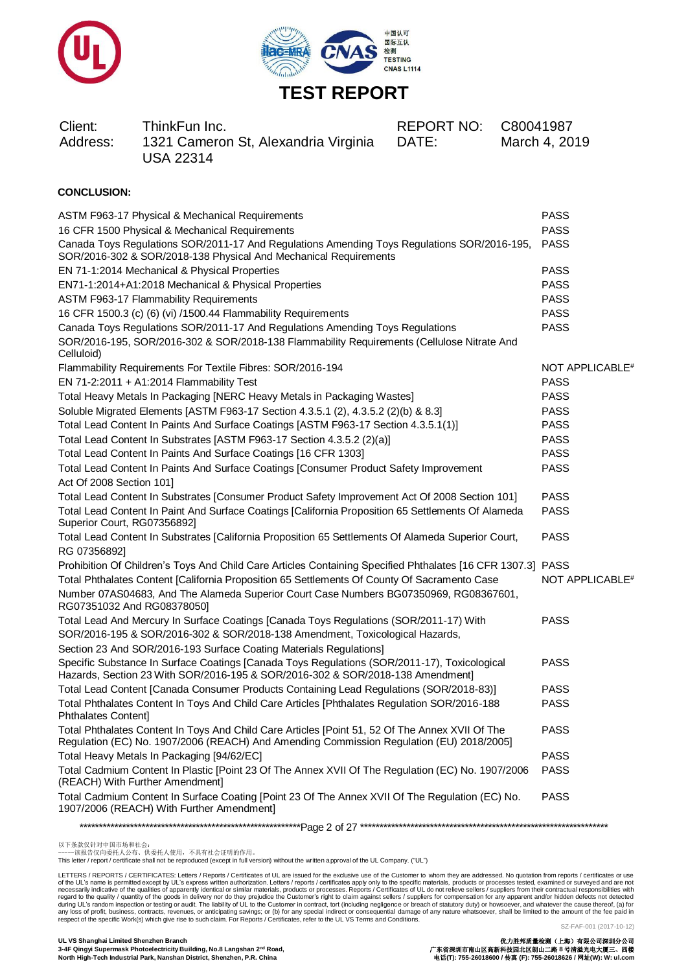



| Client:<br>Address: | ThinkFun Inc.<br>1321 Cameron St, Alexandria Virginia<br><b>USA 22314</b> | REPORT NO: C80041987<br>DATE: | March 4, 2019 |
|---------------------|---------------------------------------------------------------------------|-------------------------------|---------------|
|                     |                                                                           |                               |               |

### **CONCLUSION:**

| ASTM F963-17 Physical & Mechanical Requirements                                                                                                                                             | <b>PASS</b>                 |
|---------------------------------------------------------------------------------------------------------------------------------------------------------------------------------------------|-----------------------------|
| 16 CFR 1500 Physical & Mechanical Requirements                                                                                                                                              | <b>PASS</b>                 |
| Canada Toys Regulations SOR/2011-17 And Regulations Amending Toys Regulations SOR/2016-195,<br>SOR/2016-302 & SOR/2018-138 Physical And Mechanical Requirements                             | <b>PASS</b>                 |
| EN 71-1:2014 Mechanical & Physical Properties                                                                                                                                               | <b>PASS</b>                 |
| EN71-1:2014+A1:2018 Mechanical & Physical Properties                                                                                                                                        | <b>PASS</b>                 |
| <b>ASTM F963-17 Flammability Requirements</b>                                                                                                                                               | <b>PASS</b>                 |
| 16 CFR 1500.3 (c) (6) (vi) /1500.44 Flammability Requirements                                                                                                                               | <b>PASS</b>                 |
| Canada Toys Regulations SOR/2011-17 And Regulations Amending Toys Regulations                                                                                                               | <b>PASS</b>                 |
| SOR/2016-195, SOR/2016-302 & SOR/2018-138 Flammability Requirements (Cellulose Nitrate And<br>Celluloid)                                                                                    |                             |
| Flammability Requirements For Textile Fibres: SOR/2016-194                                                                                                                                  | NOT APPLICABLE <sup>#</sup> |
| EN 71-2:2011 + A1:2014 Flammability Test                                                                                                                                                    | <b>PASS</b>                 |
| Total Heavy Metals In Packaging [NERC Heavy Metals in Packaging Wastes]                                                                                                                     | <b>PASS</b>                 |
| Soluble Migrated Elements [ASTM F963-17 Section 4.3.5.1 (2), 4.3.5.2 (2)(b) & 8.3]                                                                                                          | <b>PASS</b>                 |
| Total Lead Content In Paints And Surface Coatings [ASTM F963-17 Section 4.3.5.1(1)]                                                                                                         | <b>PASS</b>                 |
| Total Lead Content In Substrates [ASTM F963-17 Section 4.3.5.2 (2)(a)]                                                                                                                      | <b>PASS</b>                 |
| Total Lead Content In Paints And Surface Coatings [16 CFR 1303]                                                                                                                             | <b>PASS</b>                 |
| Total Lead Content In Paints And Surface Coatings [Consumer Product Safety Improvement                                                                                                      | <b>PASS</b>                 |
| Act Of 2008 Section 101]                                                                                                                                                                    |                             |
| Total Lead Content In Substrates [Consumer Product Safety Improvement Act Of 2008 Section 101]                                                                                              | <b>PASS</b>                 |
| Total Lead Content In Paint And Surface Coatings [California Proposition 65 Settlements Of Alameda<br>Superior Court, RG07356892]                                                           | <b>PASS</b>                 |
| Total Lead Content In Substrates [California Proposition 65 Settlements Of Alameda Superior Court,<br>RG 07356892]                                                                          | <b>PASS</b>                 |
| Prohibition Of Children's Toys And Child Care Articles Containing Specified Phthalates [16 CFR 1307.3] PASS                                                                                 |                             |
| Total Phthalates Content [California Proposition 65 Settlements Of County Of Sacramento Case                                                                                                | NOT APPLICABLE <sup>#</sup> |
| Number 07AS04683, And The Alameda Superior Court Case Numbers BG07350969, RG08367601,<br>RG07351032 And RG08378050]                                                                         |                             |
| Total Lead And Mercury In Surface Coatings [Canada Toys Regulations (SOR/2011-17) With                                                                                                      | <b>PASS</b>                 |
| SOR/2016-195 & SOR/2016-302 & SOR/2018-138 Amendment, Toxicological Hazards,                                                                                                                |                             |
| Section 23 And SOR/2016-193 Surface Coating Materials Regulations]                                                                                                                          |                             |
| Specific Substance In Surface Coatings [Canada Toys Regulations (SOR/2011-17), Toxicological<br>Hazards, Section 23 With SOR/2016-195 & SOR/2016-302 & SOR/2018-138 Amendment]              | <b>PASS</b>                 |
| Total Lead Content [Canada Consumer Products Containing Lead Regulations (SOR/2018-83)]                                                                                                     | <b>PASS</b>                 |
| Total Phthalates Content In Toys And Child Care Articles [Phthalates Regulation SOR/2016-188<br>Phthalates Content]                                                                         | <b>PASS</b>                 |
| Total Phthalates Content In Toys And Child Care Articles [Point 51, 52 Of The Annex XVII Of The<br>Regulation (EC) No. 1907/2006 (REACH) And Amending Commission Regulation (EU) 2018/2005] | <b>PASS</b>                 |
| Total Heavy Metals In Packaging [94/62/EC]                                                                                                                                                  | <b>PASS</b>                 |
| Total Cadmium Content In Plastic [Point 23 Of The Annex XVII Of The Regulation (EC) No. 1907/2006<br>(REACH) With Further Amendment]                                                        | <b>PASS</b>                 |
| Total Cadmium Content In Surface Coating [Point 23 Of The Annex XVII Of The Regulation (EC) No.<br>1907/2006 (REACH) With Further Amendment]                                                | <b>PASS</b>                 |
|                                                                                                                                                                                             |                             |
|                                                                                                                                                                                             |                             |

以下条款仅针对中国市场和社会:<br>-----该报告仅向委托人公布、供委托人使用,不具有社会证明的作用。

This letter / report / certificate shall not be reproduced (except in full version) without the written approval of the UL Company. ("UL")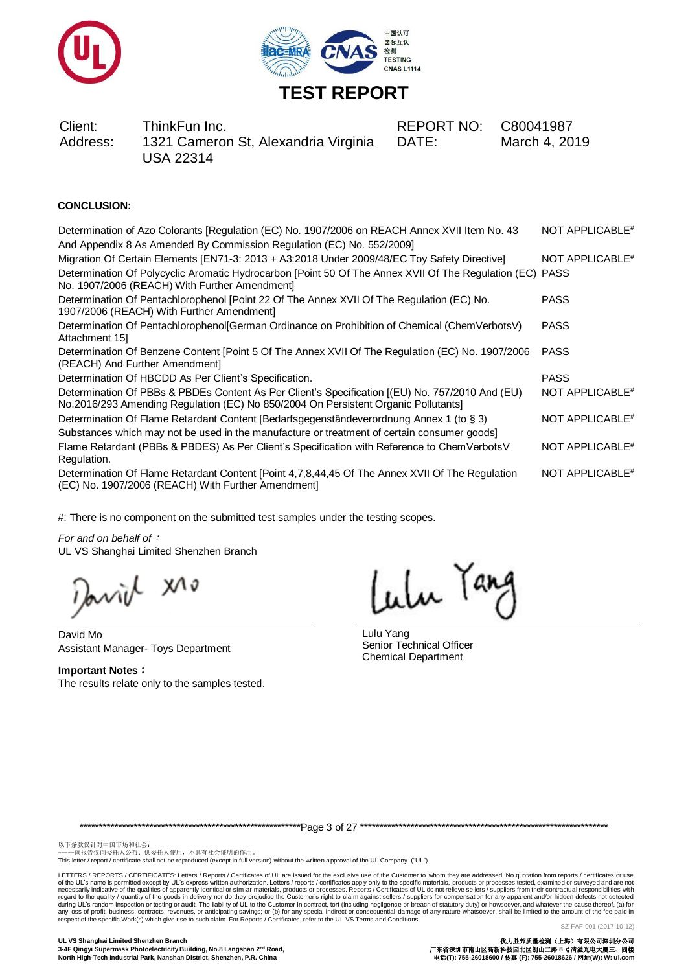



### **CONCLUSION:**

| Determination of Azo Colorants [Regulation (EC) No. 1907/2006 on REACH Annex XVII Item No. 43                                                                                        | NOT APPLICABLE <sup>#</sup> |
|--------------------------------------------------------------------------------------------------------------------------------------------------------------------------------------|-----------------------------|
| And Appendix 8 As Amended By Commission Regulation (EC) No. 552/2009]                                                                                                                |                             |
| Migration Of Certain Elements [EN71-3: 2013 + A3:2018 Under 2009/48/EC Toy Safety Directive]                                                                                         | NOT APPLICABLE <sup>#</sup> |
| Determination Of Polycyclic Aromatic Hydrocarbon [Point 50 Of The Annex XVII Of The Regulation (EC) PASS<br>No. 1907/2006 (REACH) With Further Amendment]                            |                             |
| Determination Of Pentachlorophenol [Point 22 Of The Annex XVII Of The Regulation (EC) No.<br>1907/2006 (REACH) With Further Amendment]                                               | <b>PASS</b>                 |
| Determination Of Pentachlorophenol[German Ordinance on Prohibition of Chemical (ChemVerbotsV)<br>Attachment 15                                                                       | <b>PASS</b>                 |
| Determination Of Benzene Content [Point 5 Of The Annex XVII Of The Regulation (EC) No. 1907/2006<br>(REACH) And Further Amendment]                                                   | <b>PASS</b>                 |
| Determination Of HBCDD As Per Client's Specification.                                                                                                                                | <b>PASS</b>                 |
| Determination Of PBBs & PBDEs Content As Per Client's Specification [(EU) No. 757/2010 And (EU)<br>No.2016/293 Amending Regulation (EC) No 850/2004 On Persistent Organic Pollutants | NOT APPLICABLE <sup>#</sup> |
| Determination Of Flame Retardant Content [Bedarfsgegenständeverordnung Annex 1 (to § 3)                                                                                              | NOT APPLICABLE <sup>#</sup> |
| Substances which may not be used in the manufacture or treatment of certain consumer goods]                                                                                          |                             |
| Flame Retardant (PBBs & PBDES) As Per Client's Specification with Reference to ChemVerbotsV<br>Regulation.                                                                           | NOT APPLICABLE <sup>#</sup> |
| Determination Of Flame Retardant Content [Point 4,7,8,44,45 Of The Annex XVII Of The Regulation<br>(EC) No. 1907/2006 (REACH) With Further Amendment]                                | NOT APPLICABLE <sup>#</sup> |
|                                                                                                                                                                                      |                             |

#: There is no component on the submitted test samples under the testing scopes.

*For and on behalf of*: UL VS Shanghai Limited Shenzhen Branch

 $x^{\wedge \circ}$ Javijl

David Mo Assistant Manager- Toys Department

**Important Notes**: The results relate only to the samples tested.

Lulu Tang

Lulu Yang Senior Technical Officer Chemical Department

\*\*\*\*\*\*\*\*\*\*\*\*\*\*\*\*\*\*\*\*\*\*\*\*\*\*\*\*\*\*\*\*\*\*\*\*\*\*\*\*\*\*\*\*\*\*\*\*\*\*\*\*\*\*\*\*\*Page 3 of 27 \*\*\*\*\*\*\*\*\*\*\*\*\*\*\*\*\*\*\*\*\*\*\*\*\*\*\*\*\*\*\*\*\*\*\*\*\*\*\*\*\*\*\*\*\*\*\*\*\*\*\*\*\*\*\*\*\*\*\*\*\*\*\*\*

以下条款仅针对中国市场和社会:<br>-----该报告仅向委托人公布、供委托人使用,不具有社会证明的作用。

This letter / report / certificate shall not be reproduced (except in full version) without the written approval of the UL Company. ("UL")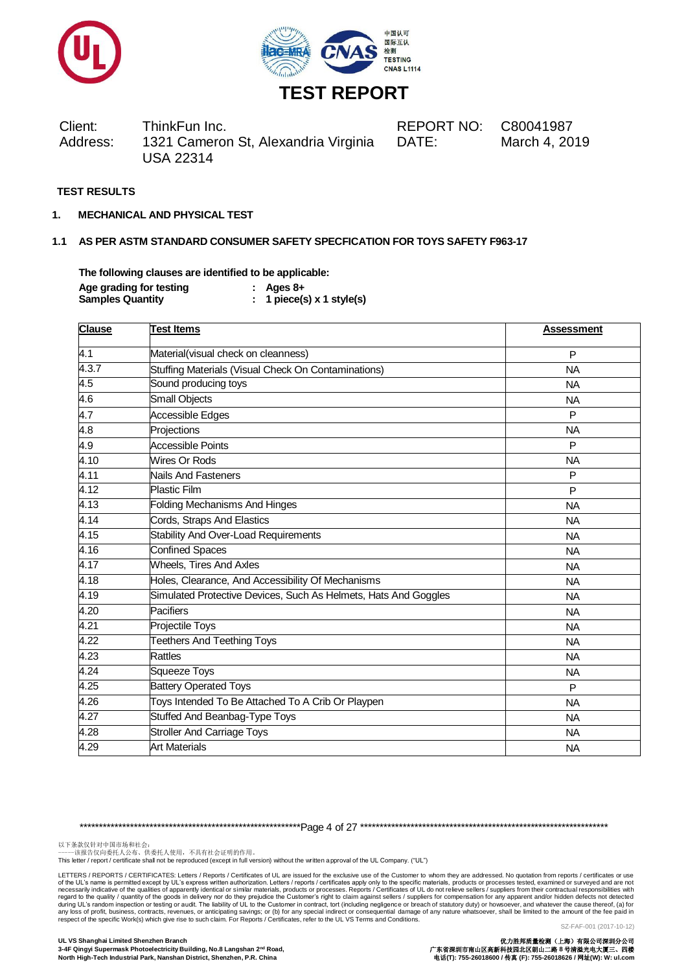



Client: ThinkFun Inc. REPORT NO: C80041987 Address: 1321 Cameron St, Alexandria Virginia USA 22314 DATE: March 4, 2019

#### **TEST RESULTS**

**1. MECHANICAL AND PHYSICAL TEST**

### **1.1 AS PER ASTM STANDARD CONSUMER SAFETY SPECFICATION FOR TOYS SAFETY F963-17**

**The following clauses are identified to be applicable: Age grading for testing : Ages 8+ Samples Quantity : 1 piece(s) x 1 style(s)**

| <b>Clause</b>    | <b>Test Items</b>                                               | <b>Assessment</b> |
|------------------|-----------------------------------------------------------------|-------------------|
| 4.1              | Material(visual check on cleanness)                             | P                 |
| 4.3.7            | Stuffing Materials (Visual Check On Contaminations)             | <b>NA</b>         |
| 4.5              | Sound producing toys                                            | <b>NA</b>         |
| $\overline{4.6}$ | Small Objects                                                   | <b>NA</b>         |
| 4.7              | Accessible Edges                                                | P                 |
| 4.8              | Projections                                                     | <b>NA</b>         |
| 4.9              | <b>Accessible Points</b>                                        | P                 |
| 4.10             | Wires Or Rods                                                   | <b>NA</b>         |
| 4.11             | Nails And Fasteners                                             | P                 |
| 4.12             | <b>Plastic Film</b>                                             | P                 |
| 4.13             | <b>Folding Mechanisms And Hinges</b>                            | <b>NA</b>         |
| 4.14             | Cords, Straps And Elastics                                      | <b>NA</b>         |
| 4.15             | <b>Stability And Over-Load Requirements</b>                     | <b>NA</b>         |
| 4.16             | <b>Confined Spaces</b>                                          | <b>NA</b>         |
| 4.17             | <b>Wheels, Tires And Axles</b>                                  | <b>NA</b>         |
| 4.18             | Holes, Clearance, And Accessibility Of Mechanisms               | <b>NA</b>         |
| 4.19             | Simulated Protective Devices, Such As Helmets, Hats And Goggles | <b>NA</b>         |
| 4.20             | Pacifiers                                                       | <b>NA</b>         |
| 4.21             | Projectile Toys                                                 | <b>NA</b>         |
| 4.22             | <b>Teethers And Teething Toys</b>                               | <b>NA</b>         |
| 4.23             | Rattles                                                         | <b>NA</b>         |
| 4.24             | <b>Squeeze Toys</b>                                             | <b>NA</b>         |
| 4.25             | <b>Battery Operated Toys</b>                                    | P                 |
| 4.26             | Toys Intended To Be Attached To A Crib Or Playpen               | <b>NA</b>         |
| 4.27             | Stuffed And Beanbag-Type Toys                                   | <b>NA</b>         |
| 4.28             | <b>Stroller And Carriage Toys</b>                               | <b>NA</b>         |
| 4.29             | <b>Art Materials</b>                                            | <b>NA</b>         |

\*\*\*\*\*\*\*\*\*\*\*\*\*\*\*\*\*\*\*\*\*\*\*\*\*\*\*\*\*\*\*\*\*\*\*\*\*\*\*\*\*\*\*\*\*\*\*\*\*\*\*\*\*\*\*\*\*Page 4 of 27 \*\*\*\*\*\*\*\*\*\*\*\*\*\*\*\*\*\*\*\*\*\*\*\*\*\*\*\*\*\*\*\*\*\*\*\*\*\*\*\*\*\*\*\*\*\*\*\*\*\*\*\*\*\*\*\*\*\*\*\*\*\*\*\*

以下条款仅针对中国市场和社会:<br>-----该报告仅向委托人公布、供委托人使用,不具有社会证明的作用。

This letter / report / certificate shall not be reproduced (except in full version) without the written approval of the UL Company. ("UL")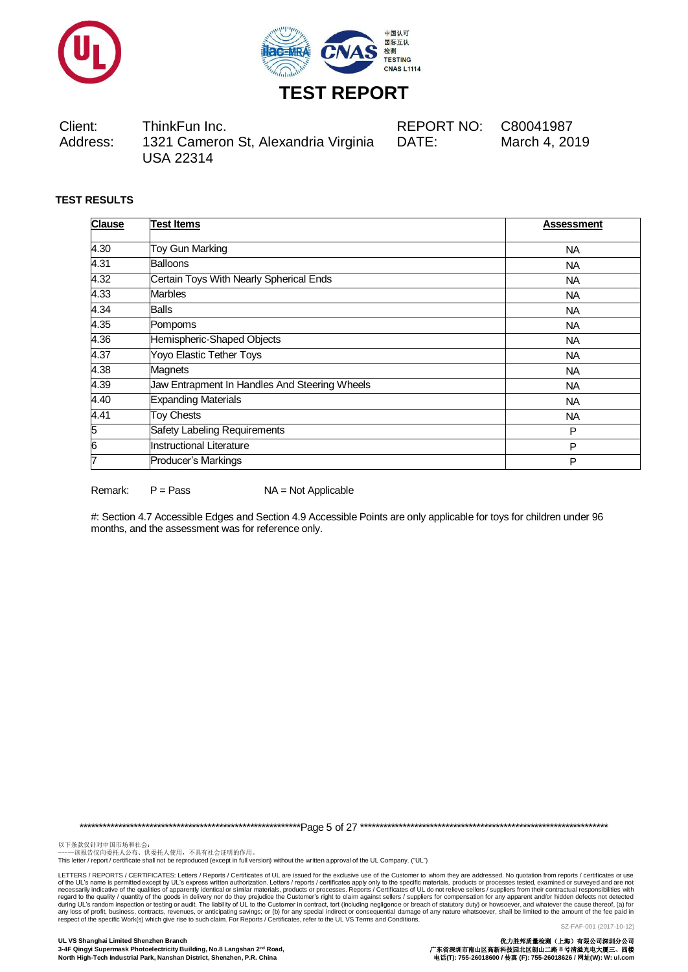



Client: ThinkFun Inc. REPORT NO: C80041987 Address: 1321 Cameron St, Alexandria Virginia USA 22314 DATE: March 4, 2019

## **TEST RESULTS**

| <b>Clause</b> | <b>Test Items</b>                             | Assessment |
|---------------|-----------------------------------------------|------------|
| 4.30          | Toy Gun Marking                               | <b>NA</b>  |
| 4.31          | <b>Balloons</b>                               | <b>NA</b>  |
| 4.32          | Certain Toys With Nearly Spherical Ends       | <b>NA</b>  |
| 4.33          | <b>Marbles</b>                                | <b>NA</b>  |
| 4.34          | <b>Balls</b>                                  | <b>NA</b>  |
| 4.35          | Pompoms                                       | <b>NA</b>  |
| 4.36          | Hemispheric-Shaped Objects                    | <b>NA</b>  |
| 4.37          | Yoyo Elastic Tether Toys                      | <b>NA</b>  |
| 4.38          | Magnets                                       | <b>NA</b>  |
| 4.39          | Jaw Entrapment In Handles And Steering Wheels | <b>NA</b>  |
| 4.40          | <b>Expanding Materials</b>                    | <b>NA</b>  |
| 4.41          | <b>Toy Chests</b>                             | <b>NA</b>  |
| 5             | Safety Labeling Requirements                  | P          |
| 6             | Instructional Literature                      | P          |
| 7             | Producer's Markings                           | P          |

Remark: P = Pass NA = Not Applicable

#: Section 4.7 Accessible Edges and Section 4.9 Accessible Points are only applicable for toys for children under 96 months, and the assessment was for reference only.

\*\*\*\*\*\*\*\*\*\*\*\*\*\*\*\*\*\*\*\*\*\*\*\*\*\*\*\*\*\*\*\*\*\*\*\*\*\*\*\*\*\*\*\*\*\*\*\*\*\*\*\*\*\*\*\*\*Page 5 of 27 \*\*\*\*\*\*\*\*\*\*\*\*\*\*\*\*\*\*\*\*\*\*\*\*\*\*\*\*\*\*\*\*\*\*\*\*\*\*\*\*\*\*\*\*\*\*\*\*\*\*\*\*\*\*\*\*\*\*\*\*\*\*\*\*

以下条款仅针对中国市场和社会:<br>-----该报告仅向委托人公布、供委托人使用,不具有社会证明的作用。

This letter / report / certificate shall not be reproduced (except in full version) without the written approval of the UL Company. ("UL")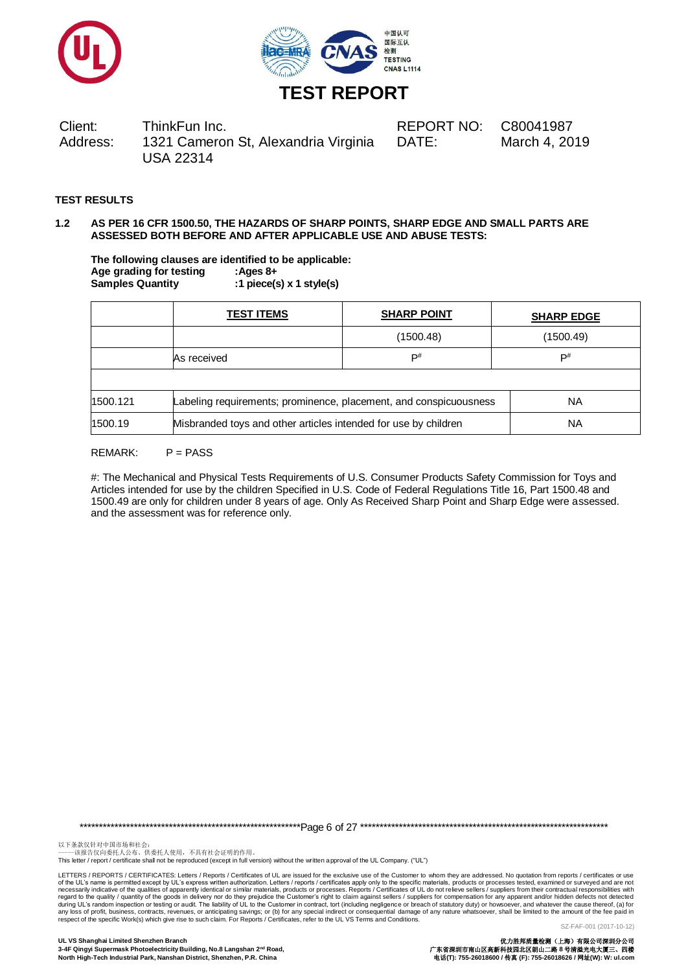



Client: ThinkFun Inc. REPORT NO: C80041987 Address: 1321 Cameron St, Alexandria Virginia USA 22314 DATE: March 4, 2019

## **TEST RESULTS**

#### **1.2 AS PER 16 CFR 1500.50, THE HAZARDS OF SHARP POINTS, SHARP EDGE AND SMALL PARTS ARE ASSESSED BOTH BEFORE AND AFTER APPLICABLE USE AND ABUSE TESTS:**

**The following clauses are identified to be applicable: Age grading for testing :Ages 8+ Samples Quantity :1 piece(s) x 1 style(s)**

|                                                                            | <b>TEST ITEMS</b>                                                              | <b>SHARP POINT</b> | <b>SHARP EDGE</b> |
|----------------------------------------------------------------------------|--------------------------------------------------------------------------------|--------------------|-------------------|
|                                                                            |                                                                                | (1500.48)          | (1500.49)         |
|                                                                            | As received                                                                    | $\mathsf{P}^\#$    | D#                |
|                                                                            |                                                                                |                    |                   |
| 1500.121                                                                   | Labeling requirements; prominence, placement, and conspicuousness<br><b>NA</b> |                    |                   |
| Misbranded toys and other articles intended for use by children<br>1500.19 |                                                                                | NA                 |                   |

#### $RFMARK: P = PASS$

#: The Mechanical and Physical Tests Requirements of U.S. Consumer Products Safety Commission for Toys and Articles intended for use by the children Specified in U.S. Code of Federal Regulations Title 16, Part 1500.48 and 1500.49 are only for children under 8 years of age. Only As Received Sharp Point and Sharp Edge were assessed. and the assessment was for reference only.

\*\*\*\*\*\*\*\*\*\*\*\*\*\*\*\*\*\*\*\*\*\*\*\*\*\*\*\*\*\*\*\*\*\*\*\*\*\*\*\*\*\*\*\*\*\*\*\*\*\*\*\*\*\*\*\*\*Page 6 of 27 \*\*\*\*\*\*\*\*\*\*\*\*\*\*\*\*\*\*\*\*\*\*\*\*\*\*\*\*\*\*\*\*\*\*\*\*\*\*\*\*\*\*\*\*\*\*\*\*\*\*\*\*\*\*\*\*\*\*\*\*\*\*\*\*

以下条款仅针对中国市场和社会:<br>-----该报告仅向委托人公布、供委托人使用,不具有社会证明的作用。

This letter / report / certificate shall not be reproduced (except in full version) without the written approval of the UL Company. ("UL")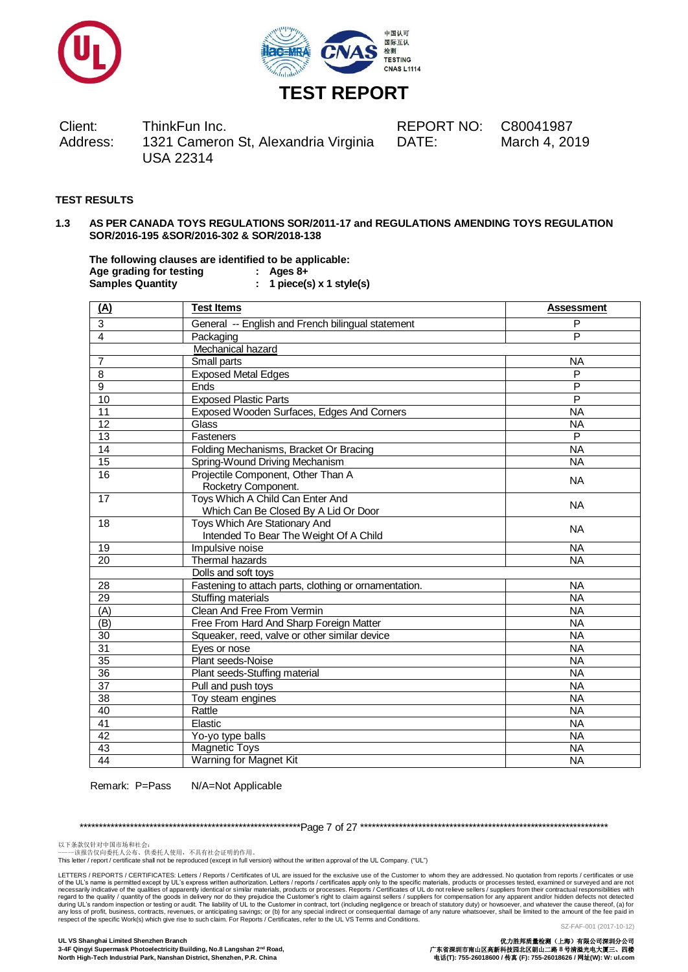



Client: ThinkFun Inc. REPORT NO: C80041987 Address: 1321 Cameron St, Alexandria Virginia USA 22314

DATE: March 4, 2019

## **TEST RESULTS**

#### **1.3 AS PER CANADA TOYS REGULATIONS SOR/2011-17 and REGULATIONS AMENDING TOYS REGULATION SOR/2016-195 &SOR/2016-302 & SOR/2018-138**

**The following clauses are identified to be applicable: Age grading for testing : Ages 8+ Samples Quantity : 1 piece(s) x 1 style(s)**

| (A)             | <b>Test Items</b>                                                        | <b>Assessment</b> |
|-----------------|--------------------------------------------------------------------------|-------------------|
| 3               | General -- English and French bilingual statement                        | P                 |
| 4               | Packaging                                                                | P                 |
|                 | Mechanical hazard                                                        |                   |
| 7               | Small parts                                                              | <b>NA</b>         |
| 8               | <b>Exposed Metal Edges</b>                                               | P                 |
| 9               | Ends                                                                     | P                 |
| 10              | <b>Exposed Plastic Parts</b>                                             | P                 |
| 11              | Exposed Wooden Surfaces, Edges And Corners                               | <b>NA</b>         |
| 12              | Glass                                                                    | <b>NA</b>         |
| $\overline{13}$ | Fasteners                                                                | P                 |
| 14              | Folding Mechanisms, Bracket Or Bracing                                   | <b>NA</b>         |
| 15              | Spring-Wound Driving Mechanism                                           | <b>NA</b>         |
| 16              | Projectile Component, Other Than A<br>Rocketry Component.                | <b>NA</b>         |
| 17              | Toys Which A Child Can Enter And<br>Which Can Be Closed By A Lid Or Door | <b>NA</b>         |
| 18              | Toys Which Are Stationary And<br>Intended To Bear The Weight Of A Child  | <b>NA</b>         |
| 19              | Impulsive noise                                                          | <b>NA</b>         |
| 20              | <b>Thermal hazards</b>                                                   | <b>NA</b>         |
|                 | Dolls and soft toys                                                      |                   |
| 28              | Fastening to attach parts, clothing or ornamentation.                    | <b>NA</b>         |
| 29              | Stuffing materials                                                       | <b>NA</b>         |
| (A)             | Clean And Free From Vermin                                               | <b>NA</b>         |
| (B)             | Free From Hard And Sharp Foreign Matter                                  | <b>NA</b>         |
| 30              | Squeaker, reed, valve or other similar device                            | <b>NA</b>         |
| $\overline{31}$ | Eyes or nose                                                             | <b>NA</b>         |
| $\overline{35}$ | Plant seeds-Noise                                                        | <b>NA</b>         |
| 36              | Plant seeds-Stuffing material                                            | $\overline{NA}$   |
| 37              | Pull and push toys                                                       | <b>NA</b>         |
| 38              | Toy steam engines                                                        | <b>NA</b>         |
| 40              | Rattle                                                                   | <b>NA</b>         |
| 41              | Elastic                                                                  | <b>NA</b>         |
| $\overline{42}$ | Yo-yo type balls                                                         | <b>NA</b>         |
| $\overline{43}$ | <b>Magnetic Toys</b>                                                     | <b>NA</b>         |
| $\overline{44}$ | <b>Warning for Magnet Kit</b>                                            | <b>NA</b>         |

Remark: P=Pass N/A=Not Applicable

\*\*\*\*\*\*\*\*\*\*\*\*\*\*\*\*\*\*\*\*\*\*\*\*\*\*\*\*\*\*\*\*\*\*\*\*\*\*\*\*\*\*\*\*\*\*\*\*\*\*\*\*\*\*\*\*\*Page 7 of 27 \*\*\*\*\*\*\*\*\*\*\*\*\*\*\*\*\*\*\*\*\*\*\*\*\*\*\*\*\*\*\*\*\*\*\*\*\*\*\*\*\*\*\*\*\*\*\*\*\*\*\*\*\*\*\*\*\*\*\*\*\*\*\*\*

以下条款仅针对中国市场和社会:<br>-----该报告仅向委托人公布、供委托人使用,不具有社会证明的作用。

This letter / report / certificate shall not be reproduced (except in full version) without the written approval of the UL Company. ("UL")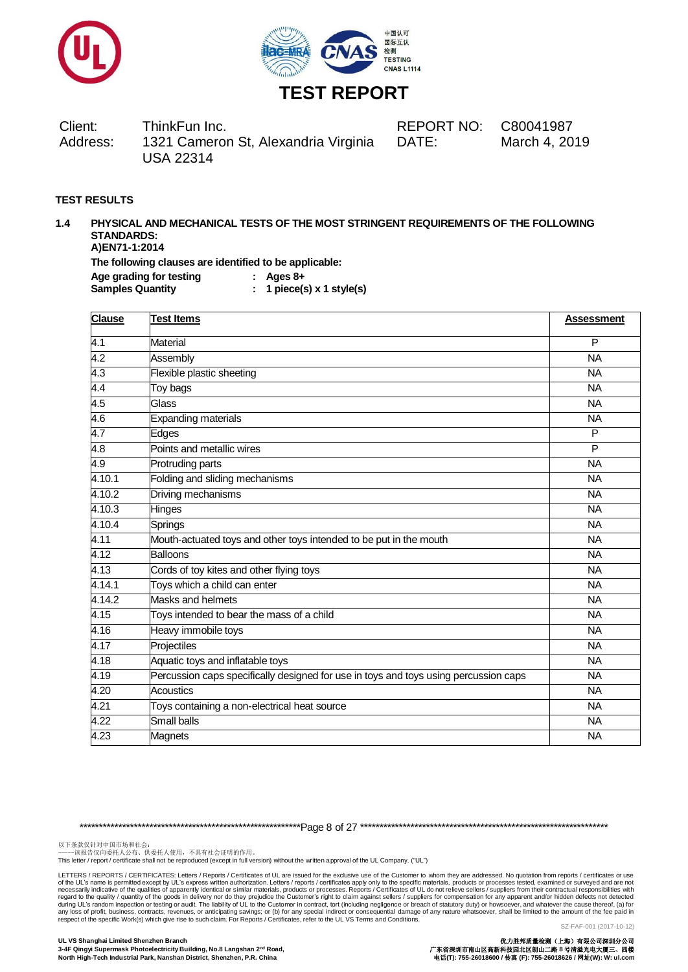



Client: ThinkFun Inc. REPORT NO: C80041987 Address: 1321 Cameron St, Alexandria Virginia USA 22314 DATE: March 4, 2019

## **TEST RESULTS**

#### **1.4 PHYSICAL AND MECHANICAL TESTS OF THE MOST STRINGENT REQUIREMENTS OF THE FOLLOWING STANDARDS: A)EN71-1:2014 The following clauses are identified to be applicable:**

**Age grading for testing : Ages 8+**

**Samples Quantity : 1 piece(s) x 1 style(s)**

| <b>Clause</b>     | <b>Test Items</b>                                                                    | <b>Assessment</b> |
|-------------------|--------------------------------------------------------------------------------------|-------------------|
| 4.1               | <b>Material</b>                                                                      | P                 |
| $\overline{4.2}$  | Assembly                                                                             | <b>NA</b>         |
| $\overline{4.3}$  | Flexible plastic sheeting                                                            | <b>NA</b>         |
| 4.4               | Toy bags                                                                             | <b>NA</b>         |
| 4.5               | Glass                                                                                | <b>NA</b>         |
| $\overline{4.6}$  | <b>Expanding materials</b>                                                           | <b>NA</b>         |
| 4.7               | Edges                                                                                | P                 |
| $\overline{4.8}$  | Points and metallic wires                                                            | P                 |
| 4.9               | Protruding parts                                                                     | <b>NA</b>         |
| 4.10.1            | Folding and sliding mechanisms                                                       | <b>NA</b>         |
| 4.10.2            | Driving mechanisms                                                                   | <b>NA</b>         |
| 4.10.3            | Hinges                                                                               | <b>NA</b>         |
| 4.10.4            | Springs                                                                              | <b>NA</b>         |
| 4.11              | Mouth-actuated toys and other toys intended to be put in the mouth                   | <b>NA</b>         |
| 4.12              | Balloons                                                                             | <b>NA</b>         |
| 4.13              | Cords of toy kites and other flying toys                                             | <b>NA</b>         |
| 4.14.1            | Toys which a child can enter                                                         | <b>NA</b>         |
| 4.14.2            | <b>Masks and helmets</b>                                                             | <b>NA</b>         |
| 4.15              | Toys intended to bear the mass of a child                                            | <b>NA</b>         |
| 4.16              | Heavy immobile toys                                                                  | <b>NA</b>         |
| 4.17              | Projectiles                                                                          | <b>NA</b>         |
| 4.18              | Aquatic toys and inflatable toys                                                     | <b>NA</b>         |
| 4.19              | Percussion caps specifically designed for use in toys and toys using percussion caps | <b>NA</b>         |
| 4.20              | Acoustics                                                                            | <b>NA</b>         |
| $\overline{4.21}$ | Toys containing a non-electrical heat source                                         | <b>NA</b>         |
| 4.22              | <b>Small balls</b>                                                                   | <b>NA</b>         |
| 4.23              | Magnets                                                                              | <b>NA</b>         |

\*\*\*\*\*\*\*\*\*\*\*\*\*\*\*\*\*\*\*\*\*\*\*\*\*\*\*\*\*\*\*\*\*\*\*\*\*\*\*\*\*\*\*\*\*\*\*\*\*\*\*\*\*\*\*\*\*Page 8 of 27 \*\*\*\*\*\*\*\*\*\*\*\*\*\*\*\*\*\*\*\*\*\*\*\*\*\*\*\*\*\*\*\*\*\*\*\*\*\*\*\*\*\*\*\*\*\*\*\*\*\*\*\*\*\*\*\*\*\*\*\*\*\*\*\*

以下条款仅针对中国市场和社会:<br>-----该报告仅向委托人公布、供委托人使用,不具有社会证明的作用。

This letter / report / certificate shall not be reproduced (except in full version) without the written approval of the UL Company. ("UL")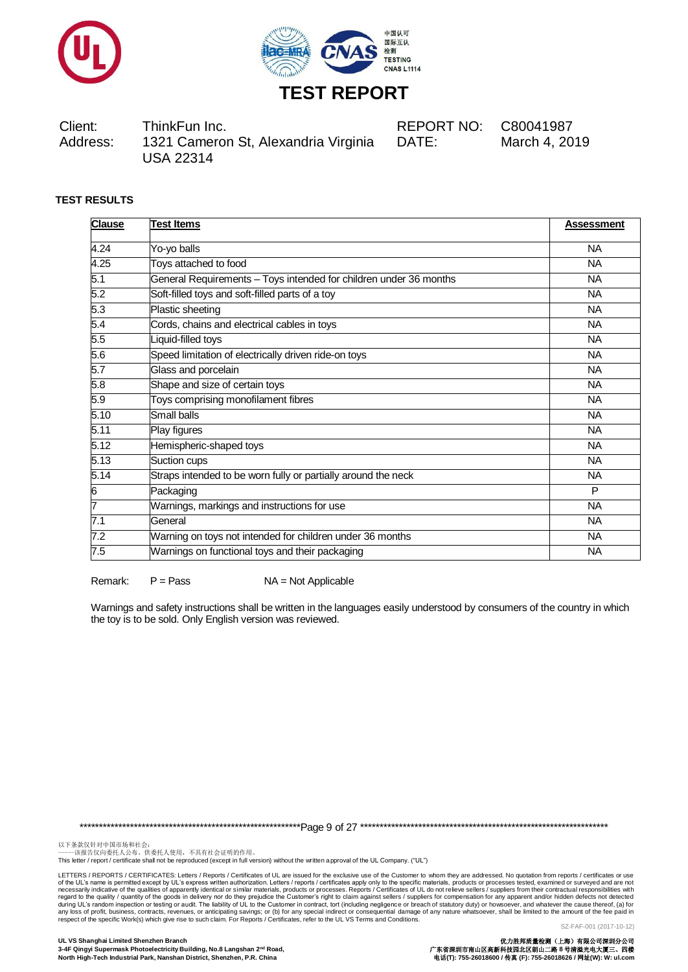



Client: ThinkFun Inc. REPORT NO: C80041987 Address: 1321 Cameron St, Alexandria Virginia USA 22314

DATE: March 4, 2019

## **TEST RESULTS**

| <b>Clause</b> | <b>Test Items</b>                                                 | <b>Assessment</b> |
|---------------|-------------------------------------------------------------------|-------------------|
| 4.24          | Yo-yo balls                                                       | <b>NA</b>         |
| 4.25          | Toys attached to food                                             | <b>NA</b>         |
| 5.1           | General Requirements - Toys intended for children under 36 months | <b>NA</b>         |
| 5.2           | Soft-filled toys and soft-filled parts of a toy                   | <b>NA</b>         |
| 5.3           | Plastic sheeting                                                  | <b>NA</b>         |
| 5.4           | Cords, chains and electrical cables in toys                       | <b>NA</b>         |
| 5.5           | Liquid-filled toys                                                | <b>NA</b>         |
| 5.6           | Speed limitation of electrically driven ride-on toys              | <b>NA</b>         |
| 5.7           | Glass and porcelain                                               | <b>NA</b>         |
| 5.8           | Shape and size of certain toys                                    | <b>NA</b>         |
| 5.9           | Toys comprising monofilament fibres                               | NA                |
| 5.10          | <b>Small balls</b>                                                | <b>NA</b>         |
| 5.11          | Play figures                                                      | <b>NA</b>         |
| 5.12          | Hemispheric-shaped toys                                           | <b>NA</b>         |
| 5.13          | Suction cups                                                      | <b>NA</b>         |
| 5.14          | Straps intended to be worn fully or partially around the neck     | <b>NA</b>         |
| 6             | Packaging                                                         | P                 |
| 7             | Warnings, markings and instructions for use                       | <b>NA</b>         |
| 7.1           | General                                                           | <b>NA</b>         |
| 7.2           | Warning on toys not intended for children under 36 months         | <b>NA</b>         |
| 7.5           | Warnings on functional toys and their packaging                   | <b>NA</b>         |

Remark: P = Pass NA = Not Applicable

Warnings and safety instructions shall be written in the languages easily understood by consumers of the country in which the toy is to be sold. Only English version was reviewed.

\*\*\*\*\*\*\*\*\*\*\*\*\*\*\*\*\*\*\*\*\*\*\*\*\*\*\*\*\*\*\*\*\*\*\*\*\*\*\*\*\*\*\*\*\*\*\*\*\*\*\*\*\*\*\*\*\*Page 9 of 27 \*\*\*\*\*\*\*\*\*\*\*\*\*\*\*\*\*\*\*\*\*\*\*\*\*\*\*\*\*\*\*\*\*\*\*\*\*\*\*\*\*\*\*\*\*\*\*\*\*\*\*\*\*\*\*\*\*\*\*\*\*\*\*\*

以下条款仅针对中国市场和社会:<br>-----该报告仅向委托人公布、供委托人使用,不具有社会证明的作用。

This letter / report / certificate shall not be reproduced (except in full version) without the written approval of the UL Company. ("UL")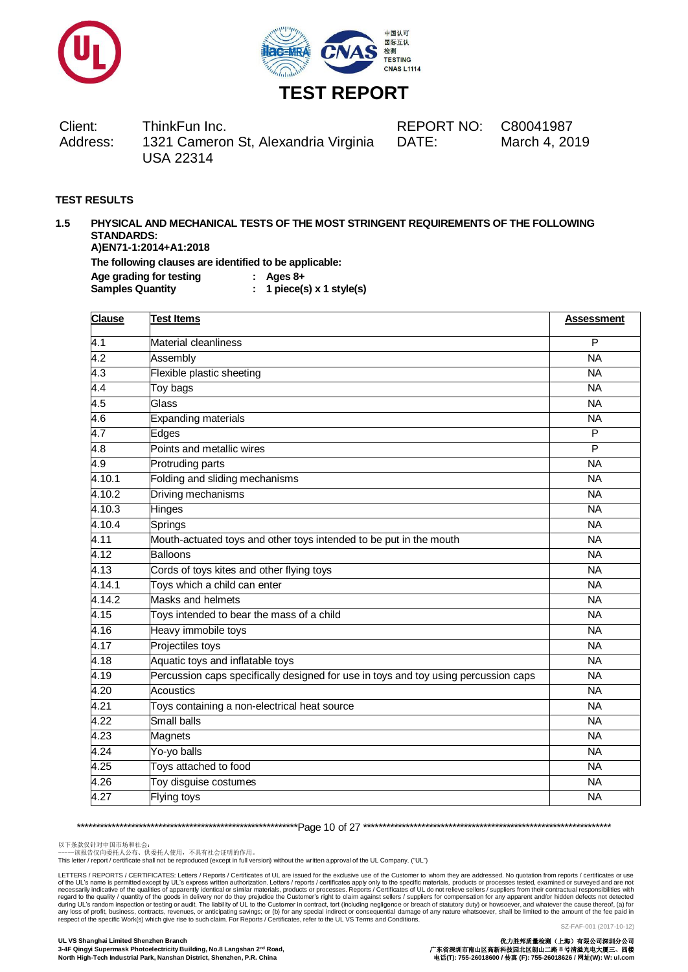



Client: ThinkFun Inc. REPORT NO: C80041987 Address: 1321 Cameron St, Alexandria Virginia USA 22314 DATE: March 4, 2019

### **TEST RESULTS**

#### **1.5 PHYSICAL AND MECHANICAL TESTS OF THE MOST STRINGENT REQUIREMENTS OF THE FOLLOWING STANDARDS: A)EN71-1:2014+A1:2018 The following clauses are identified to be applicable: Age grading for testing : Ages 8+ Samples Quantity : 1 piece(s) x 1 style(s)**

| <b>Clause</b>       | <b>Test Items</b>                                                                   | <b>Assessment</b> |
|---------------------|-------------------------------------------------------------------------------------|-------------------|
| $\overline{4.1}$    | Material cleanliness                                                                | $\overline{P}$    |
| 4.2                 | Assembly                                                                            | <b>NA</b>         |
| 4.3                 | Flexible plastic sheeting                                                           | <b>NA</b>         |
| $\overline{4.4}$    | Toy bags                                                                            | <b>NA</b>         |
| 4.5                 | Glass                                                                               | <b>NA</b>         |
| 4.6                 | <b>Expanding materials</b>                                                          | $\overline{NA}$   |
| 4.7                 | Edges                                                                               | P                 |
| 4.8                 | Points and metallic wires                                                           | P                 |
| 4.9                 | Protruding parts                                                                    | $\overline{NA}$   |
| 4.10.1              | Folding and sliding mechanisms                                                      | <b>NA</b>         |
| 4.10.2              | Driving mechanisms                                                                  | <b>NA</b>         |
| 4.10.3              | <b>Hinges</b>                                                                       | $\overline{NA}$   |
| 4.10.4              | Springs                                                                             | <b>NA</b>         |
| 4.11                | Mouth-actuated toys and other toys intended to be put in the mouth                  | <b>NA</b>         |
| 4.12                | Balloons                                                                            | <b>NA</b>         |
| 4.13                | Cords of toys kites and other flying toys                                           | $\overline{NA}$   |
| 4.14.1              | Toys which a child can enter                                                        | <b>NA</b>         |
| $4.\overline{14.2}$ | Masks and helmets                                                                   | <b>NA</b>         |
| 4.15                | Toys intended to bear the mass of a child                                           | <b>NA</b>         |
| 4.16                | Heavy immobile toys                                                                 | <b>NA</b>         |
| $\overline{4.17}$   | Projectiles toys                                                                    | <b>NA</b>         |
| 4.18                | Aquatic toys and inflatable toys                                                    | <b>NA</b>         |
| 4.19                | Percussion caps specifically designed for use in toys and toy using percussion caps | <b>NA</b>         |
| 4.20                | <b>Acoustics</b>                                                                    | <b>NA</b>         |
| 4.21                | Toys containing a non-electrical heat source                                        | <b>NA</b>         |
| 4.22                | Small balls                                                                         | <b>NA</b>         |
| $\overline{4.23}$   | Magnets                                                                             | <b>NA</b>         |
| 4.24                | Yo-yo balls                                                                         | <b>NA</b>         |
| 4.25                | Toys attached to food                                                               | <b>NA</b>         |
| 4.26                | Toy disguise costumes                                                               | <b>NA</b>         |
| 4.27                | <b>Flying toys</b>                                                                  | <b>NA</b>         |

\*\*\*\*\*\*\*\*\*\*\*\*\*\*\*\*\*\*\*\*\*\*\*\*\*\*\*\*\*\*\*\*\*\*\*\*\*\*\*\*\*\*\*\*\*\*\*\*\*\*\*\*\*\*\*\*\*Page 10 of 27 \*\*\*\*\*\*\*\*\*\*\*\*\*\*\*\*\*\*\*\*\*\*\*\*\*\*\*\*\*\*\*\*\*\*\*\*\*\*\*\*\*\*\*\*\*\*\*\*\*\*\*\*\*\*\*\*\*\*\*\*\*\*\*\*

以下条款仅针对中国市场和社会:<br>-----该报告仅向委托人公布、供委托人使用,不具有社会证明的作用。

This letter / report / certificate shall not be reproduced (except in full version) without the written approval of the UL Company. ("UL")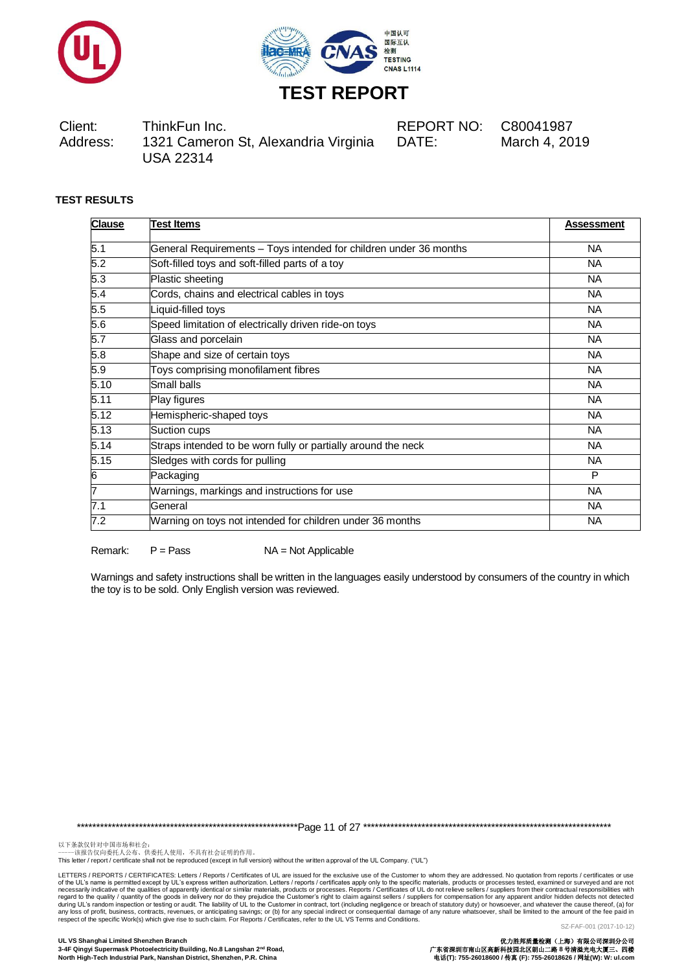



Client: ThinkFun Inc. REPORT NO: C80041987 Address: 1321 Cameron St, Alexandria Virginia USA 22314

DATE: March 4, 2019

## **TEST RESULTS**

| <b>Clause</b> | <b>Test Items</b>                                                 | <b>Assessment</b> |
|---------------|-------------------------------------------------------------------|-------------------|
| 5.1           | General Requirements - Toys intended for children under 36 months | NA.               |
| 5.2           | Soft-filled toys and soft-filled parts of a toy                   | <b>NA</b>         |
| 5.3           | Plastic sheeting                                                  | NA.               |
| 5.4           | Cords, chains and electrical cables in toys                       | <b>NA</b>         |
| 5.5           | Liquid-filled toys                                                | <b>NA</b>         |
| 5.6           | Speed limitation of electrically driven ride-on toys              | <b>NA</b>         |
| 5.7           | Glass and porcelain                                               | <b>NA</b>         |
| 5.8           | Shape and size of certain toys                                    | <b>NA</b>         |
| 5.9           | Toys comprising monofilament fibres                               | <b>NA</b>         |
| 5.10          | Small balls                                                       | <b>NA</b>         |
| 5.11          | Play figures                                                      | <b>NA</b>         |
| 5.12          | Hemispheric-shaped toys                                           | <b>NA</b>         |
| 5.13          | Suction cups                                                      | <b>NA</b>         |
| 5.14          | Straps intended to be worn fully or partially around the neck     | <b>NA</b>         |
| 5.15          | Sledges with cords for pulling                                    | <b>NA</b>         |
| 6             | Packaging                                                         | P                 |
| 17            | Warnings, markings and instructions for use                       | <b>NA</b>         |
| 7.1           | General                                                           | NA.               |
| 7.2           | Warning on toys not intended for children under 36 months         | <b>NA</b>         |

Remark:  $P = Pass$   $NA = Not Applicable$ 

Warnings and safety instructions shall be written in the languages easily understood by consumers of the country in which the toy is to be sold. Only English version was reviewed.

\*\*\*\*\*\*\*\*\*\*\*\*\*\*\*\*\*\*\*\*\*\*\*\*\*\*\*\*\*\*\*\*\*\*\*\*\*\*\*\*\*\*\*\*\*\*\*\*\*\*\*\*\*\*\*\*\*Page 11 of 27 \*\*\*\*\*\*\*\*\*\*\*\*\*\*\*\*\*\*\*\*\*\*\*\*\*\*\*\*\*\*\*\*\*\*\*\*\*\*\*\*\*\*\*\*\*\*\*\*\*\*\*\*\*\*\*\*\*\*\*\*\*\*\*\*

以下条款仅针对中国市场和社会:<br>-----该报告仅向委托人公布、供委托人使用,不具有社会证明的作用。

This letter / report / certificate shall not be reproduced (except in full version) without the written approval of the UL Company. ("UL")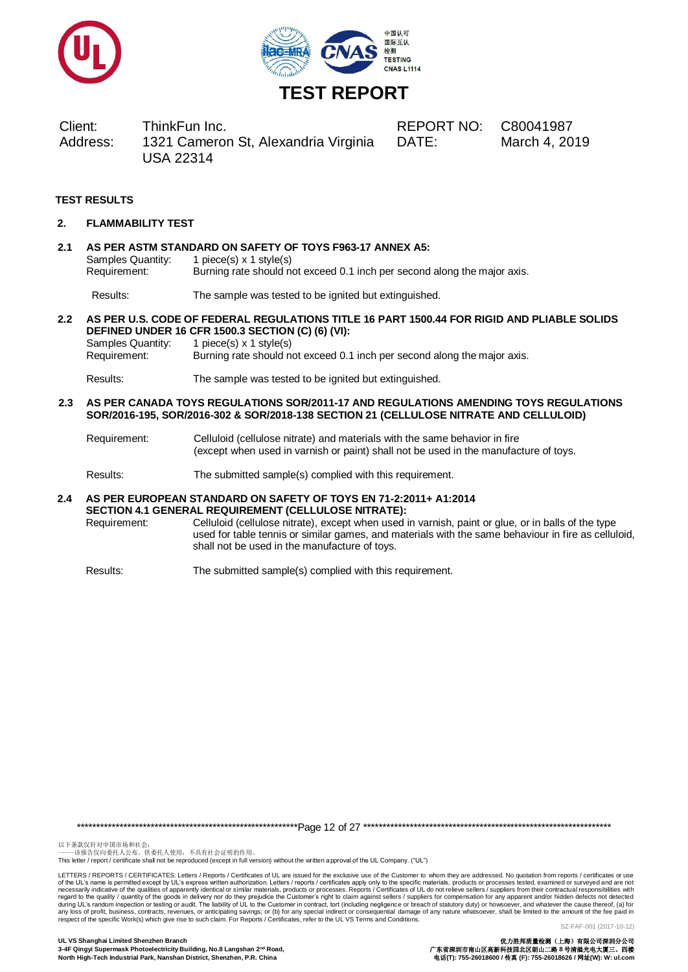



Client: ThinkFun Inc. REPORT NO: C80041987 Address: 1321 Cameron St, Alexandria Virginia USA 22314

DATE: March 4, 2019

## **TEST RESULTS**

**2. FLAMMABILITY TEST**

## **2.1 AS PER ASTM STANDARD ON SAFETY OF TOYS F963-17 ANNEX A5:** Samples Quantity: 1 piece(s) x 1 style(s) Requirement: Burning rate should not exceed 0.1 inch per second along the major axis.

Results: The sample was tested to be ignited but extinguished.

### **2.2 AS PER U.S. CODE OF FEDERAL REGULATIONS TITLE 16 PART 1500.44 FOR RIGID AND PLIABLE SOLIDS DEFINED UNDER 16 CFR 1500.3 SECTION (C) (6) (VI):**

Samples Quantity: 1 piece(s) x 1 style(s) Requirement: Burning rate should not exceed 0.1 inch per second along the major axis. Results: The sample was tested to be ignited but extinguished.

- **2.3 AS PER CANADA TOYS REGULATIONS SOR/2011-17 AND REGULATIONS AMENDING TOYS REGULATIONS SOR/2016-195, SOR/2016-302 & SOR/2018-138 SECTION 21 (CELLULOSE NITRATE AND CELLULOID)**
	- Requirement: Celluloid (cellulose nitrate) and materials with the same behavior in fire (except when used in varnish or paint) shall not be used in the manufacture of toys.

Results: The submitted sample(s) complied with this requirement.

#### **2.4 AS PER EUROPEAN STANDARD ON SAFETY OF TOYS EN 71-2:2011+ A1:2014 SECTION 4.1 GENERAL REQUIREMENT (CELLULOSE NITRATE):**

Requirement: Celluloid (cellulose nitrate), except when used in varnish, paint or glue, or in balls of the type used for table tennis or similar games, and materials with the same behaviour in fire as celluloid, shall not be used in the manufacture of toys.

Results: The submitted sample(s) complied with this requirement.

\*\*\*\*\*\*\*\*\*\*\*\*\*\*\*\*\*\*\*\*\*\*\*\*\*\*\*\*\*\*\*\*\*\*\*\*\*\*\*\*\*\*\*\*\*\*\*\*\*\*\*\*\*\*\*\*\*Page 12 of 27 \*\*\*\*\*\*\*\*\*\*\*\*\*\*\*\*\*\*\*\*\*\*\*\*\*\*\*\*\*\*\*\*\*\*\*\*\*\*\*\*\*\*\*\*\*\*\*\*\*\*\*\*\*\*\*\*\*\*\*\*\*\*\*\*

以下条款仅针对中国市场和社会:<br>-----该报告仅向委托人公布、供委托人使用,不具有社会证明的作用。

This letter / report / certificate shall not be reproduced (except in full version) without the written approval of the UL Company. ("UL")

LETTERS / REPORTS / CERTIFICATES: Letters / Reports / Certificates of UL are issued for the exclusive use of the Customer to whom they are addressed. No quotation from reports / certificates or use of the UL's name is permitted except by UL's express written authorization. Letters / reports / certificates apply only to the specific materials, products or processes. Reports / Certificates of UL do not relieve sellers respect of the specific Work(s) which give rise to such claim. For Reports / Certificates, refer to the UL VS Terms and Conditions.

SZ-FAF-001 (2017-10-12)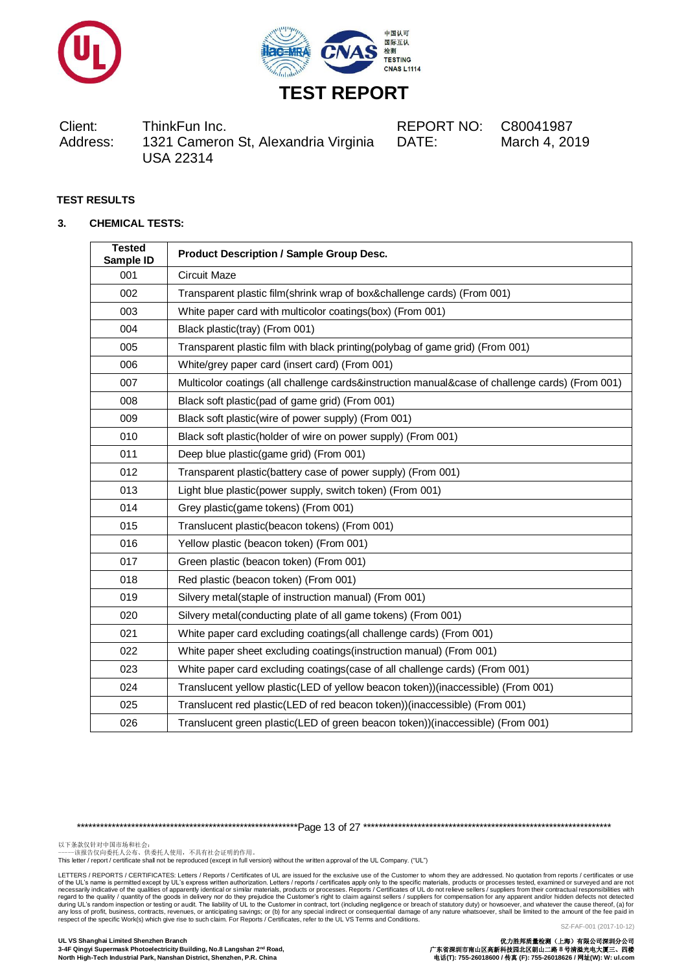



Client: ThinkFun Inc. REPORT NO: C80041987 Address: 1321 Cameron St, Alexandria Virginia USA 22314

DATE: March 4, 2019

## **TEST RESULTS**

### **3. CHEMICAL TESTS:**

| <b>Tested</b><br>Sample ID | <b>Product Description / Sample Group Desc.</b>                                                 |
|----------------------------|-------------------------------------------------------------------------------------------------|
| 001                        | <b>Circuit Maze</b>                                                                             |
| 002                        | Transparent plastic film(shrink wrap of box&challenge cards) (From 001)                         |
| 003                        | White paper card with multicolor coatings(box) (From 001)                                       |
| 004                        | Black plastic(tray) (From 001)                                                                  |
| 005                        | Transparent plastic film with black printing(polybag of game grid) (From 001)                   |
| 006                        | White/grey paper card (insert card) (From 001)                                                  |
| 007                        | Multicolor coatings (all challenge cards&instruction manual&case of challenge cards) (From 001) |
| 008                        | Black soft plastic(pad of game grid) (From 001)                                                 |
| 009                        | Black soft plastic(wire of power supply) (From 001)                                             |
| 010                        | Black soft plastic(holder of wire on power supply) (From 001)                                   |
| 011                        | Deep blue plastic(game grid) (From 001)                                                         |
| 012                        | Transparent plastic(battery case of power supply) (From 001)                                    |
| 013                        | Light blue plastic(power supply, switch token) (From 001)                                       |
| 014                        | Grey plastic(game tokens) (From 001)                                                            |
| 015                        | Translucent plastic(beacon tokens) (From 001)                                                   |
| 016                        | Yellow plastic (beacon token) (From 001)                                                        |
| 017                        | Green plastic (beacon token) (From 001)                                                         |
| 018                        | Red plastic (beacon token) (From 001)                                                           |
| 019                        | Silvery metal(staple of instruction manual) (From 001)                                          |
| 020                        | Silvery metal(conducting plate of all game tokens) (From 001)                                   |
| 021                        | White paper card excluding coatings (all challenge cards) (From 001)                            |
| 022                        | White paper sheet excluding coatings (instruction manual) (From 001)                            |
| 023                        | White paper card excluding coatings(case of all challenge cards) (From 001)                     |
| 024                        | Translucent yellow plastic(LED of yellow beacon token))(inaccessible) (From 001)                |
| 025                        | Translucent red plastic(LED of red beacon token))(inaccessible) (From 001)                      |
| 026                        | Translucent green plastic(LED of green beacon token))(inaccessible) (From 001)                  |
|                            |                                                                                                 |

\*\*\*\*\*\*\*\*\*\*\*\*\*\*\*\*\*\*\*\*\*\*\*\*\*\*\*\*\*\*\*\*\*\*\*\*\*\*\*\*\*\*\*\*\*\*\*\*\*\*\*\*\*\*\*\*\*Page 13 of 27 \*\*\*\*\*\*\*\*\*\*\*\*\*\*\*\*\*\*\*\*\*\*\*\*\*\*\*\*\*\*\*\*\*\*\*\*\*\*\*\*\*\*\*\*\*\*\*\*\*\*\*\*\*\*\*\*\*\*\*\*\*\*\*\*

以下条款仅针对中国市场和社会:<br>-----该报告仅向委托人公布、供委托人使用,不具有社会证明的作用。

This letter / report / certificate shall not be reproduced (except in full version) without the written approval of the UL Company. ("UL")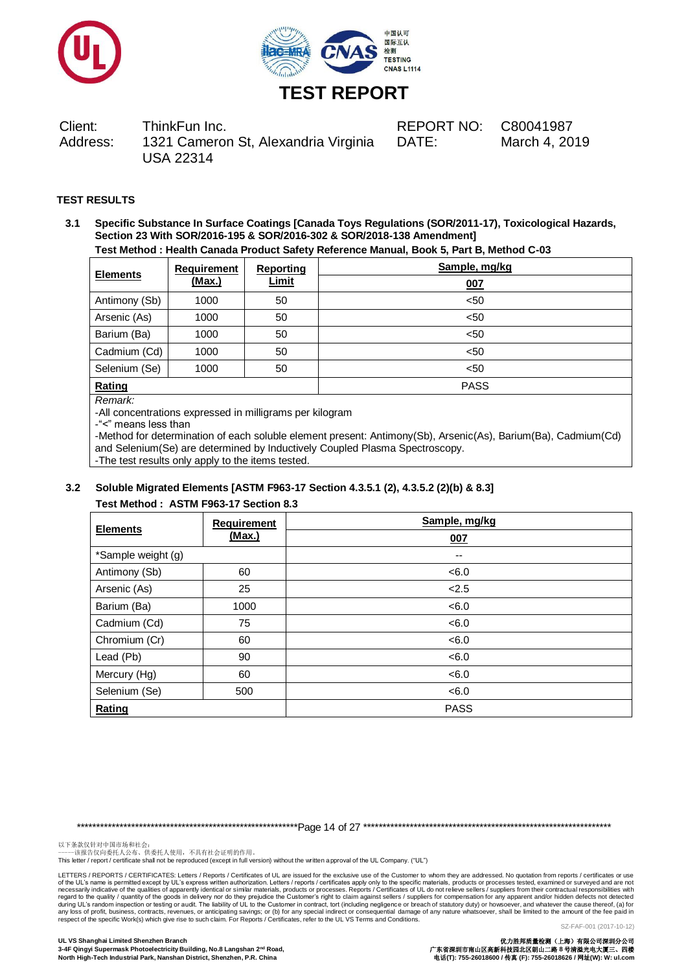



Client: ThinkFun Inc. REPORT NO: C80041987 Address: 1321 Cameron St, Alexandria Virginia USA 22314

DATE: March 4, 2019

## **TEST RESULTS**

**3.1 Specific Substance In Surface Coatings [Canada Toys Regulations (SOR/2011-17), Toxicological Hazards, Section 23 With SOR/2016-195 & SOR/2016-302 & SOR/2018-138 Amendment] Test Method : Health Canada Product Safety Reference Manual, Book 5, Part B, Method C-03**

| <b>Elements</b> | <b>Requirement</b><br>(Max.) | <b>Reporting</b> | Sample, mg/kg |  |  |  |  |
|-----------------|------------------------------|------------------|---------------|--|--|--|--|
|                 |                              | <b>Limit</b>     | 007           |  |  |  |  |
| Antimony (Sb)   | 1000                         | 50               | < 50          |  |  |  |  |
| Arsenic (As)    | 1000                         | 50               | < 50          |  |  |  |  |
| Barium (Ba)     | 1000                         | 50               | < 50          |  |  |  |  |
| Cadmium (Cd)    | 1000                         | 50               | < 50          |  |  |  |  |
| Selenium (Se)   | 1000                         | 50               | < 50          |  |  |  |  |
| Rating          |                              |                  | <b>PASS</b>   |  |  |  |  |

#### *Remark:*

-All concentrations expressed in milligrams per kilogram

-"<" means less than

-Method for determination of each soluble element present: Antimony(Sb), Arsenic(As), Barium(Ba), Cadmium(Cd) and Selenium(Se) are determined by Inductively Coupled Plasma Spectroscopy. -The test results only apply to the items tested.

## **3.2 Soluble Migrated Elements [ASTM F963-17 Section 4.3.5.1 (2), 4.3.5.2 (2)(b) & 8.3] Test Method : ASTM F963-17 Section 8.3**

| <b>Elements</b>    | <b>Requirement</b> | Sample, mg/kg |
|--------------------|--------------------|---------------|
|                    | <u>(Max.)</u>      | 007           |
| *Sample weight (g) |                    | --            |
| Antimony (Sb)      | 60                 | < 6.0         |
| Arsenic (As)       | 25                 | 2.5           |
| Barium (Ba)        | 1000               | < 6.0         |
| Cadmium (Cd)       | 75                 | < 6.0         |
| Chromium (Cr)      | 60                 | < 6.0         |
| Lead (Pb)          | 90                 | < 6.0         |
| Mercury (Hg)       | 60                 | < 6.0         |
| Selenium (Se)      | 500                | < 6.0         |
| Rating             |                    | <b>PASS</b>   |

\*\*\*\*\*\*\*\*\*\*\*\*\*\*\*\*\*\*\*\*\*\*\*\*\*\*\*\*\*\*\*\*\*\*\*\*\*\*\*\*\*\*\*\*\*\*\*\*\*\*\*\*\*\*\*\*\*Page 14 of 27 \*\*\*\*\*\*\*\*\*\*\*\*\*\*\*\*\*\*\*\*\*\*\*\*\*\*\*\*\*\*\*\*\*\*\*\*\*\*\*\*\*\*\*\*\*\*\*\*\*\*\*\*\*\*\*\*\*\*\*\*\*\*\*\*

以下条款仅针对中国市场和社会:<br>-----该报告仅向委托人公布、供委托人使用,不具有社会证明的作用。

This letter / report / certificate shall not be reproduced (except in full version) without the written approval of the UL Company. ("UL")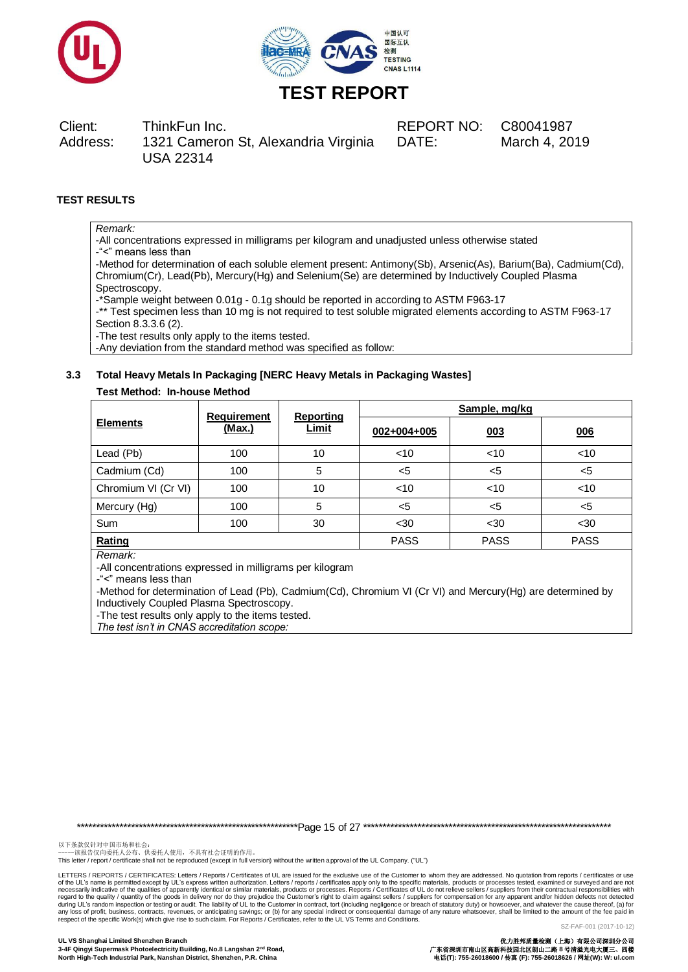



Client: ThinkFun Inc. REPORT NO: C80041987 Address: 1321 Cameron St, Alexandria Virginia USA 22314

DATE: March 4, 2019

## **TEST RESULTS**

## *Remark:*

-All concentrations expressed in milligrams per kilogram and unadjusted unless otherwise stated -"<" means less than

-Method for determination of each soluble element present: Antimony(Sb), Arsenic(As), Barium(Ba), Cadmium(Cd), Chromium(Cr), Lead(Pb), Mercury(Hg) and Selenium(Se) are determined by Inductively Coupled Plasma **Spectroscopy** 

-\*Sample weight between 0.01g - 0.1g should be reported in according to ASTM F963-17

-\*\* Test specimen less than 10 mg is not required to test soluble migrated elements according to ASTM F963-17 Section 8.3.3.6 (2).

-The test results only apply to the items tested.

-Any deviation from the standard method was specified as follow:

## **3.3 Total Heavy Metals In Packaging [NERC Heavy Metals in Packaging Wastes]**

### **Test Method: In-house Method**

|                     | <b>Requirement</b> | Reporting    | Sample, mg/kg |             |             |  |
|---------------------|--------------------|--------------|---------------|-------------|-------------|--|
| <b>Elements</b>     | <u>(Max.)</u>      | <u>Limit</u> | 002+004+005   | 003         | 006         |  |
| Lead (Pb)           | 100                | 10           | $<$ 10        | $<$ 10      | $<$ 10      |  |
| Cadmium (Cd)        | 100                | 5            | $5$           | $5$         | $<$ 5       |  |
| Chromium VI (Cr VI) | 100                | 10           | $<$ 10        | $<$ 10      | $<$ 10      |  |
| Mercury (Hg)        | 100                | 5            | $5$           | $5$         | $<$ 5       |  |
| Sum                 | 100                | 30           | $30$          | $30$        | $30$        |  |
| Rating              |                    |              | <b>PASS</b>   | <b>PASS</b> | <b>PASS</b> |  |

*Remark:*

-All concentrations expressed in milligrams per kilogram

-"<" means less than

-Method for determination of Lead (Pb), Cadmium(Cd), Chromium VI (Cr VI) and Mercury(Hg) are determined by Inductively Coupled Plasma Spectroscopy.

-The test results only apply to the items tested.

*The test isn't in CNAS accreditation scope:*

\*\*\*\*\*\*\*\*\*\*\*\*\*\*\*\*\*\*\*\*\*\*\*\*\*\*\*\*\*\*\*\*\*\*\*\*\*\*\*\*\*\*\*\*\*\*\*\*\*\*\*\*\*\*\*\*\*Page 15 of 27 \*\*\*\*\*\*\*\*\*\*\*\*\*\*\*\*\*\*\*\*\*\*\*\*\*\*\*\*\*\*\*\*\*\*\*\*\*\*\*\*\*\*\*\*\*\*\*\*\*\*\*\*\*\*\*\*\*\*\*\*\*\*\*\*

以下条款仅针对中国市场和社会:<br>-----该报告仅向委托人公布、供委托人使用,不具有社会证明的作用。

This letter / report / certificate shall not be reproduced (except in full version) without the written approval of the UL Company. ("UL")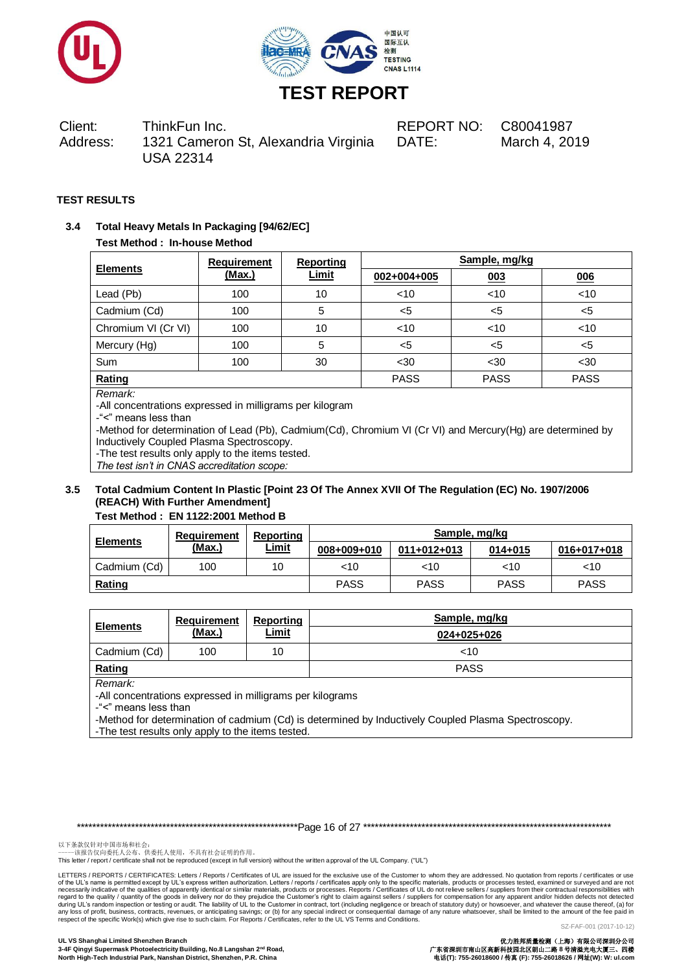



Client: ThinkFun Inc. REPORT NO: C80041987 Address: 1321 Cameron St, Alexandria Virginia USA 22314

DATE: March 4, 2019

## **TEST RESULTS**

## **3.4 Total Heavy Metals In Packaging [94/62/EC]**

### **Test Method : In-house Method**

|                     | <b>Requirement</b> | <b>Reporting</b> | Sample, mg/kg |             |             |  |
|---------------------|--------------------|------------------|---------------|-------------|-------------|--|
| <b>Elements</b>     | <u>(Max.)</u>      | <u>Limit</u>     | 002+004+005   | 003         | 006         |  |
| Lead (Pb)           | 100                | 10               | < 10          | < 10        | < 10        |  |
| Cadmium (Cd)        | 100                | 5                | $<$ 5         | <5          | $<$ 5       |  |
| Chromium VI (Cr VI) | 100                | 10               | < 10          | < 10        | < 10        |  |
| Mercury (Hg)        | 100                | 5                | $<$ 5         | <5          | $<$ 5       |  |
| Sum                 | 100                | 30               | $30$          | $30$        | $30$        |  |
| Rating              |                    |                  | <b>PASS</b>   | <b>PASS</b> | <b>PASS</b> |  |
| $\sim$ $\sim$       |                    |                  |               |             |             |  |

*Remark:*

-All concentrations expressed in milligrams per kilogram

-"<" means less than

-Method for determination of Lead (Pb), Cadmium(Cd), Chromium VI (Cr VI) and Mercury(Hg) are determined by Inductively Coupled Plasma Spectroscopy.

-The test results only apply to the items tested.

*The test isn't in CNAS accreditation scope:*

## **3.5 Total Cadmium Content In Plastic [Point 23 Of The Annex XVII Of The Regulation (EC) No. 1907/2006 (REACH) With Further Amendment]**

## **Test Method : EN 1122:2001 Method B**

| <b>Elements</b> | Requirement<br><u>(Max.)</u> | Reporting    | Sample, mg/kg |             |             |             |
|-----------------|------------------------------|--------------|---------------|-------------|-------------|-------------|
|                 |                              | <u>Limit</u> | 008+009+010   | 011+012+013 | $014 + 015$ | 016+017+018 |
| Cadmium (Cd)    | 100                          | 10           | <10           | ~10         | 10          | <10         |
| <b>Rating</b>   |                              |              | <b>PASS</b>   | PASS        | <b>PASS</b> | <b>PASS</b> |

| <b>Elements</b> | Requirement | Reporting    | Sample, mg/kg |
|-----------------|-------------|--------------|---------------|
|                 | (Max.)      | <u>Limit</u> | 024+025+026   |
| Cadmium (Cd)    | 100         | 10           | ~10           |
| Rating          |             |              | <b>PASS</b>   |

*Remark:*

-All concentrations expressed in milligrams per kilograms

-"<" means less than

-Method for determination of cadmium (Cd) is determined by Inductively Coupled Plasma Spectroscopy.

-The test results only apply to the items tested.

\*\*\*\*\*\*\*\*\*\*\*\*\*\*\*\*\*\*\*\*\*\*\*\*\*\*\*\*\*\*\*\*\*\*\*\*\*\*\*\*\*\*\*\*\*\*\*\*\*\*\*\*\*\*\*\*\*Page 16 of 27 \*\*\*\*\*\*\*\*\*\*\*\*\*\*\*\*\*\*\*\*\*\*\*\*\*\*\*\*\*\*\*\*\*\*\*\*\*\*\*\*\*\*\*\*\*\*\*\*\*\*\*\*\*\*\*\*\*\*\*\*\*\*\*\*

以下条款仅针对中国市场和社会:<br>-----该报告仅向委托人公布、供委托人使用,不具有社会证明的作用。

This letter / report / certificate shall not be reproduced (except in full version) without the written approval of the UL Company. ("UL")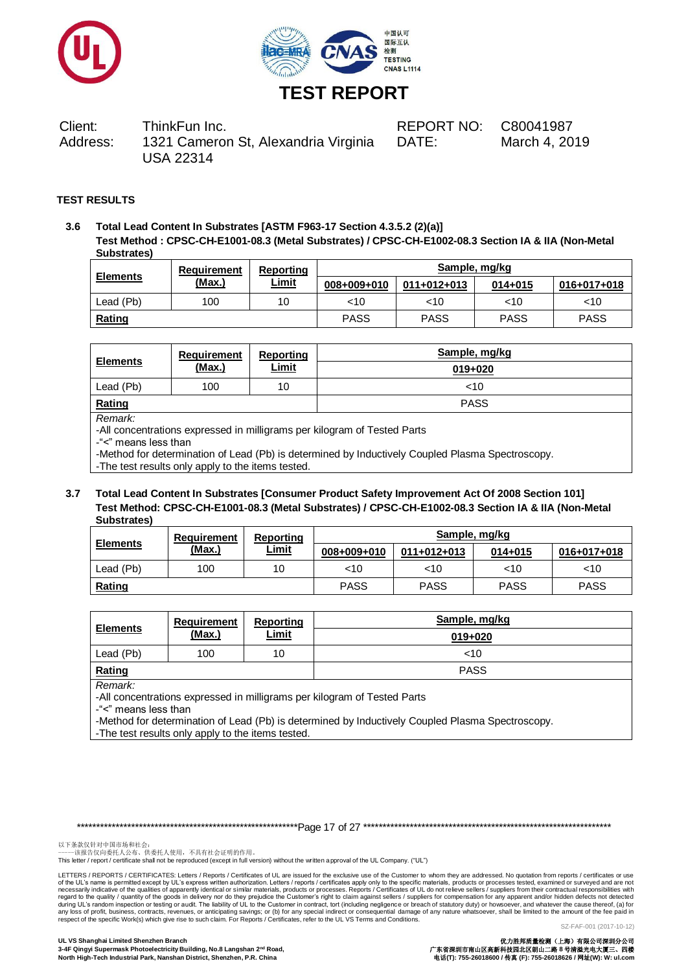



Client: ThinkFun Inc. REPORT NO: C80041987 Address: 1321 Cameron St, Alexandria Virginia USA 22314

DATE: March 4, 2019

## **TEST RESULTS**

**3.6 Total Lead Content In Substrates [ASTM F963-17 Section 4.3.5.2 (2)(a)] Test Method : CPSC-CH-E1001-08.3 (Metal Substrates) / CPSC-CH-E1002-08.3 Section IA & IIA (Non-Metal Substrates)**

| <b>Elements</b> | Reporting<br>Requirement |              | Sample, mg/kg |               |             |             |
|-----------------|--------------------------|--------------|---------------|---------------|-------------|-------------|
|                 | (Max.)                   | <u>Limit</u> | 008+009+010   | $011+012+013$ | $014 + 015$ | 016+017+018 |
| Lead (Pb)       | 100                      | 10           | ~10           | <10           | $<$ 10      | <10         |
| Rating          |                          |              | <b>PASS</b>   | <b>PASS</b>   | <b>PASS</b> | <b>PASS</b> |

| <b>Elements</b> | Requirement | Reporting    | Sample, mg/kg |
|-----------------|-------------|--------------|---------------|
|                 | (Max.)      | <u>Limit</u> | 019+020       |
| Lead (Pb)       | 100         | 10           | $<$ 10        |
| Rating          |             |              | <b>PASS</b>   |

*Remark:*

-All concentrations expressed in milligrams per kilogram of Tested Parts

-"<" means less than

-Method for determination of Lead (Pb) is determined by Inductively Coupled Plasma Spectroscopy.

-The test results only apply to the items tested.

### **3.7 Total Lead Content In Substrates [Consumer Product Safety Improvement Act Of 2008 Section 101] Test Method: CPSC-CH-E1001-08.3 (Metal Substrates) / CPSC-CH-E1002-08.3 Section IA & IIA (Non-Metal Substrates)**

| <b>Elements</b> | Requirement<br>(Max.) | Reporting    |             | Sample, mg/kg |             |             |  |
|-----------------|-----------------------|--------------|-------------|---------------|-------------|-------------|--|
|                 |                       | <u>Limit</u> | 008+009+010 | 011+012+013   | $014 + 015$ | 016+017+018 |  |
| Lead (Pb)       | 100                   | 10           | $<$ 10      | <10           | ~10         | ~10         |  |
| Rating          |                       |              | <b>PASS</b> | <b>PASS</b>   | <b>PASS</b> | <b>PASS</b> |  |

| <b>Elements</b> | Requirement | Reporting    | Sample, mg/kg |
|-----------------|-------------|--------------|---------------|
|                 | (Max.)      | <u>Limit</u> | $019 + 020$   |
| Lead (Pb)       | 100         | 10           | 10<           |
| Rating          |             |              | <b>PASS</b>   |

*Remark:*

-All concentrations expressed in milligrams per kilogram of Tested Parts

-"<" means less than

-Method for determination of Lead (Pb) is determined by Inductively Coupled Plasma Spectroscopy.

-The test results only apply to the items tested.

\*\*\*\*\*\*\*\*\*\*\*\*\*\*\*\*\*\*\*\*\*\*\*\*\*\*\*\*\*\*\*\*\*\*\*\*\*\*\*\*\*\*\*\*\*\*\*\*\*\*\*\*\*\*\*\*\*Page 17 of 27 \*\*\*\*\*\*\*\*\*\*\*\*\*\*\*\*\*\*\*\*\*\*\*\*\*\*\*\*\*\*\*\*\*\*\*\*\*\*\*\*\*\*\*\*\*\*\*\*\*\*\*\*\*\*\*\*\*\*\*\*\*\*\*\*

以下条款仅针对中国市场和社会:<br>-----该报告仅向委托人公布、供委托人使用,不具有社会证明的作用。

This letter / report / certificate shall not be reproduced (except in full version) without the written approval of the UL Company. ("UL")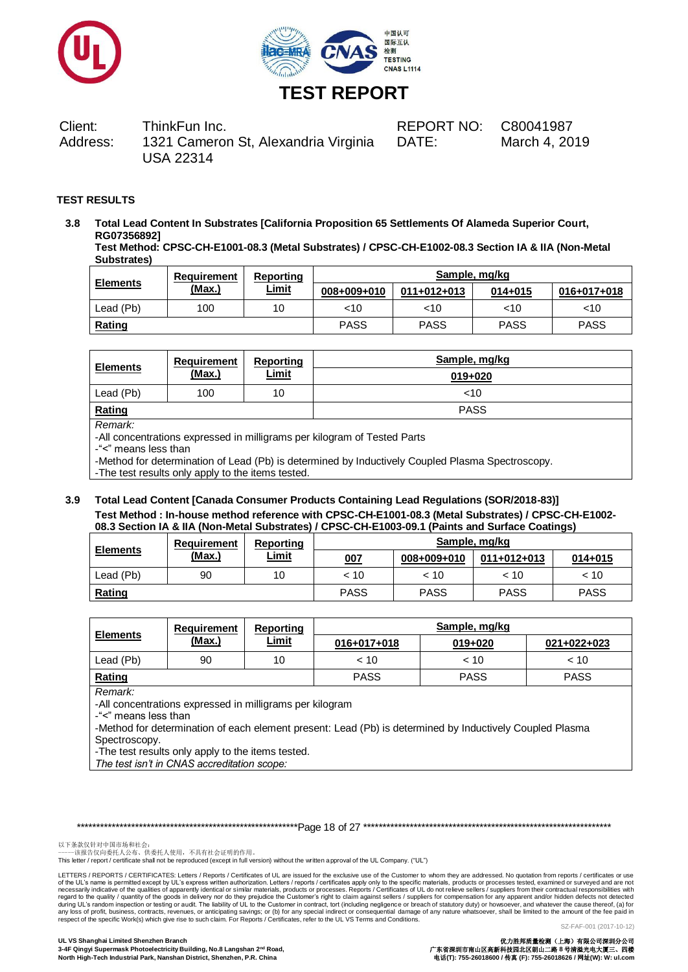



Client: ThinkFun Inc. REPORT NO: C80041987 Address: 1321 Cameron St, Alexandria Virginia USA 22314

DATE: March 4, 2019

## **TEST RESULTS**

**3.8 Total Lead Content In Substrates [California Proposition 65 Settlements Of Alameda Superior Court, RG07356892] Test Method: CPSC-CH-E1001-08.3 (Metal Substrates) / CPSC-CH-E1002-08.3 Section IA & IIA (Non-Metal** 

**Substrates) Sample, mg/kg** 

| <b>Elements</b> | Requirement | <b>Reporting</b> | Sample, mg/kg |             |             |             |  |
|-----------------|-------------|------------------|---------------|-------------|-------------|-------------|--|
|                 | (Max.)      | <u>Limit</u>     | 008+009+010   | 011+012+013 | $014 + 015$ | 016+017+018 |  |
| Lead (Pb)       | 100         | 10               | <10           | $<$ 10      | $<$ 10      | <10         |  |
| Rating          |             |                  | <b>PASS</b>   | <b>PASS</b> | <b>PASS</b> | <b>PASS</b> |  |

|     | <u>Limit</u> | 019+020     |
|-----|--------------|-------------|
| 100 | 10           | 10<         |
|     |              | <b>PASS</b> |
|     | (Max.)       |             |

*Remark:*

-All concentrations expressed in milligrams per kilogram of Tested Parts

-"<" means less than

-Method for determination of Lead (Pb) is determined by Inductively Coupled Plasma Spectroscopy.

-The test results only apply to the items tested.

### **3.9 Total Lead Content [Canada Consumer Products Containing Lead Regulations (SOR/2018-83)] Test Method : In-house method reference with CPSC-CH-E1001-08.3 (Metal Substrates) / CPSC-CH-E1002- 08.3 Section IA & IIA (Non-Metal Substrates) / CPSC-CH-E1003-09.1 (Paints and Surface Coatings)**

| <b>Elements</b> | Requirement | Reporting    | Sample, mg/kg |             |               |             |
|-----------------|-------------|--------------|---------------|-------------|---------------|-------------|
|                 | (Max.)      | <u>Limit</u> | 007           | 008+009+010 | $011+012+013$ | $014 + 015$ |
| Lead (Pb)       | 90          | 10           | $~<$ 10       | < 10        | ~< 10         | < 10        |
| <b>Rating</b>   |             |              | <b>PASS</b>   | <b>PASS</b> | <b>PASS</b>   | <b>PASS</b> |

| <b>Elements</b> | Requirement | Reporting    |             | Sample, mg/kg |             |
|-----------------|-------------|--------------|-------------|---------------|-------------|
|                 | (Max.)      | <u>Limit</u> | 016+017+018 | 019+020       | 021+022+023 |
| Lead (Pb)       | 90          | 10           | ~< 10       | $~<$ 10       | < 10        |
| Rating          |             |              | <b>PASS</b> | <b>PASS</b>   | <b>PASS</b> |

*Remark:*

-All concentrations expressed in milligrams per kilogram

-"<" means less than

-Method for determination of each element present: Lead (Pb) is determined by Inductively Coupled Plasma Spectroscopy.

-The test results only apply to the items tested.

*The test isn't in CNAS accreditation scope:*

\*\*\*\*\*\*\*\*\*\*\*\*\*\*\*\*\*\*\*\*\*\*\*\*\*\*\*\*\*\*\*\*\*\*\*\*\*\*\*\*\*\*\*\*\*\*\*\*\*\*\*\*\*\*\*\*\*Page 18 of 27 \*\*\*\*\*\*\*\*\*\*\*\*\*\*\*\*\*\*\*\*\*\*\*\*\*\*\*\*\*\*\*\*\*\*\*\*\*\*\*\*\*\*\*\*\*\*\*\*\*\*\*\*\*\*\*\*\*\*\*\*\*\*\*\*

以下条款仅针对中国市场和社会:<br>-----该报告仅向委托人公布、供委托人使用,不具有社会证明的作用。

This letter / report / certificate shall not be reproduced (except in full version) without the written approval of the UL Company. ("UL")

LETTERS / REPORTS / CERTIFICATES: Letters / Reports / Certificates of UL are issued for the exclusive use of the Customer to whom they are addressed. No quotation from reports / certificates or use of the UL's name is permitted except by UL's express written authorization. Letters / reports / certificates apply only to the specific materials, products or processes tested, examined or surveyed and are not necessarily indicative of the qualities of apparently identical or similar materials, products or processes. Reports / Certificates of UL do not relieve sellers / suppliers from their contractual responsibilities with<br>duri respect of the specific Work(s) which give rise to such claim. For Reports / Certificates, refer to the UL VS Terms and Conditions.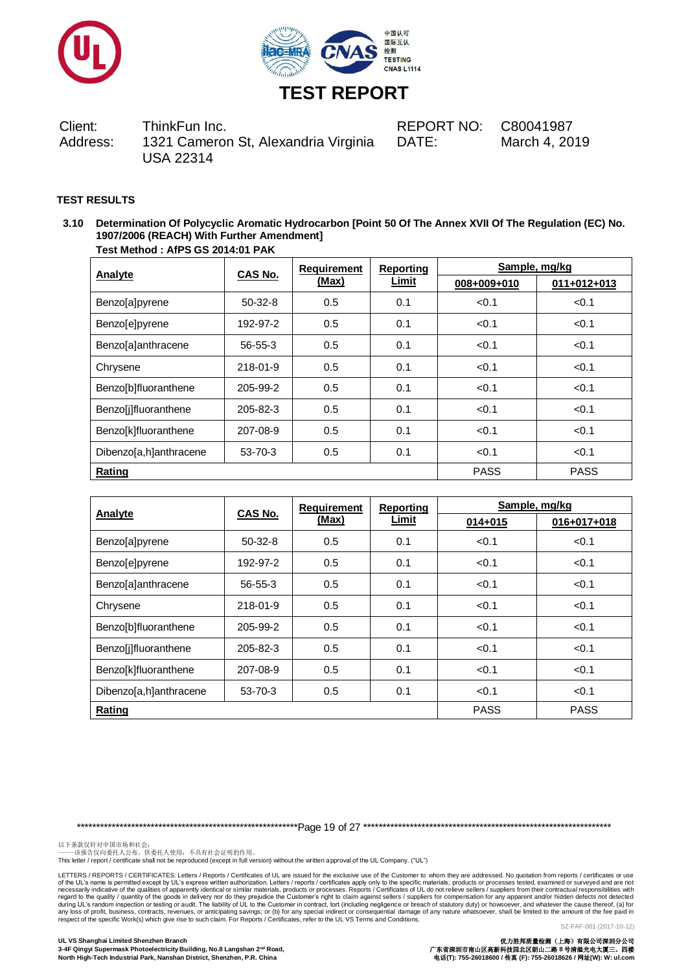



Client: ThinkFun Inc. REPORT NO: C80041987 Address: 1321 Cameron St, Alexandria Virginia USA 22314

DATE: March 4, 2019

## **TEST RESULTS**

**3.10 Determination Of Polycyclic Aromatic Hydrocarbon [Point 50 Of The Annex XVII Of The Regulation (EC) No. 1907/2006 (REACH) With Further Amendment] Test Method : AfPS GS 2014:01 PAK**

|                        |               | <b>Requirement</b> | <b>Reporting</b> | Sample, mg/kg |               |  |
|------------------------|---------------|--------------------|------------------|---------------|---------------|--|
| Analyte                | CAS No.       | (Max)              | Limit            | 008+009+010   | $011+012+013$ |  |
| Benzo[a]pyrene         | $50-32-8$     | 0.5                | 0.1              | < 0.1         | < 0.1         |  |
| Benzo[e]pyrene         | 192-97-2      | 0.5                | 0.1              | < 0.1         | < 0.1         |  |
| Benzo[a]anthracene     | 56-55-3       | 0.5                | 0.1              | < 0.1         | < 0.1         |  |
| Chrysene               | 218-01-9      | 0.5                | 0.1              | < 0.1         | < 0.1         |  |
| Benzo[b]fluoranthene   | 205-99-2      | 0.5                | 0.1              | < 0.1         | < 0.1         |  |
| Benzo[j]fluoranthene   | 205-82-3      | 0.5                | 0.1              | < 0.1         | < 0.1         |  |
| Benzo[k]fluoranthene   | 207-08-9      | 0.5                | 0.1              | < 0.1         | < 0.1         |  |
| Dibenzo[a,h]anthracene | $53 - 70 - 3$ | 0.5                | 0.1              | < 0.1         | < 0.1         |  |
| Rating                 |               |                    |                  | <b>PASS</b>   | <b>PASS</b>   |  |

| Analyte                | <b>CAS No.</b> | <b>Requirement</b> | <b>Reporting</b> | Sample, mg/kg |             |  |
|------------------------|----------------|--------------------|------------------|---------------|-------------|--|
|                        |                | (Max)              | Limit            | $014 + 015$   | 016+017+018 |  |
| Benzo[a]pyrene         | $50-32-8$      | 0.5                | 0.1              | < 0.1         | < 0.1       |  |
| Benzo[e]pyrene         | 192-97-2       | 0.5                | 0.1              | < 0.1         | < 0.1       |  |
| Benzo[a]anthracene     | $56 - 55 - 3$  | 0.5                | 0.1              | < 0.1         | < 0.1       |  |
| Chrysene               | 218-01-9       | 0.5                | 0.1              | < 0.1         | < 0.1       |  |
| Benzo[b]fluoranthene   | 205-99-2       | 0.5                | 0.1              | < 0.1         | < 0.1       |  |
| Benzolilfluoranthene   | 205-82-3       | 0.5                | 0.1              | < 0.1         | < 0.1       |  |
| Benzo[k]fluoranthene   | 207-08-9       | 0.5                | 0.1              | < 0.1         | < 0.1       |  |
| Dibenzo[a,h]anthracene | 53-70-3        | 0.5                | 0.1              | < 0.1         | < 0.1       |  |
| Rating                 |                |                    |                  | <b>PASS</b>   | <b>PASS</b> |  |

\*\*\*\*\*\*\*\*\*\*\*\*\*\*\*\*\*\*\*\*\*\*\*\*\*\*\*\*\*\*\*\*\*\*\*\*\*\*\*\*\*\*\*\*\*\*\*\*\*\*\*\*\*\*\*\*\*Page 19 of 27 \*\*\*\*\*\*\*\*\*\*\*\*\*\*\*\*\*\*\*\*\*\*\*\*\*\*\*\*\*\*\*\*\*\*\*\*\*\*\*\*\*\*\*\*\*\*\*\*\*\*\*\*\*\*\*\*\*\*\*\*\*\*\*\*

以下条款仅针对中国市场和社会:<br>-----该报告仅向委托人公布、供委托人使用,不具有社会证明的作用。

This letter / report / certificate shall not be reproduced (except in full version) without the written approval of the UL Company. ("UL")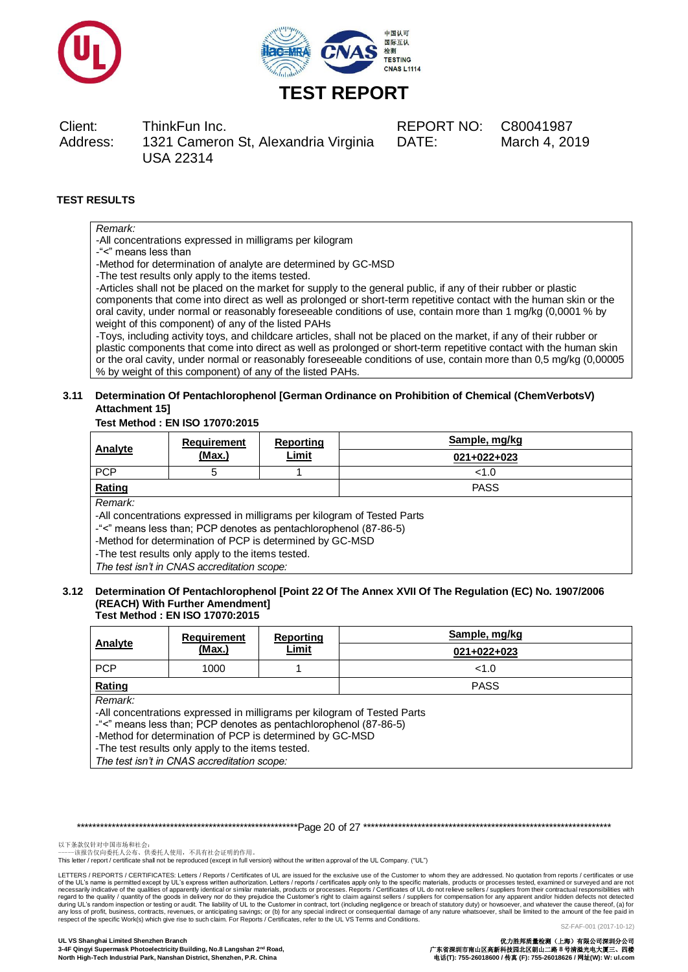



Client: ThinkFun Inc. REPORT NO: C80041987 Address: 1321 Cameron St, Alexandria Virginia USA 22314

DATE: March 4, 2019

## **TEST RESULTS**

## *Remark:*

-All concentrations expressed in milligrams per kilogram

-"<" means less than

-Method for determination of analyte are determined by GC-MSD

-The test results only apply to the items tested.

-Articles shall not be placed on the market for supply to the general public, if any of their rubber or plastic components that come into direct as well as prolonged or short-term repetitive contact with the human skin or the oral cavity, under normal or reasonably foreseeable conditions of use, contain more than 1 mg/kg (0,0001 % by weight of this component) of any of the listed PAHs

-Toys, including activity toys, and childcare articles, shall not be placed on the market, if any of their rubber or plastic components that come into direct as well as prolonged or short-term repetitive contact with the human skin or the oral cavity, under normal or reasonably foreseeable conditions of use, contain more than 0,5 mg/kg (0,00005 % by weight of this component) of any of the listed PAHs.

### **3.11 Determination Of Pentachlorophenol [German Ordinance on Prohibition of Chemical (ChemVerbotsV) Attachment 15]**

#### **Test Method : EN ISO 17070:2015**

| Analyte                                                                  | Requirement<br>(Max.) | Reporting<br><b>Limit</b> | Sample, mg/kg |  |  |
|--------------------------------------------------------------------------|-----------------------|---------------------------|---------------|--|--|
|                                                                          |                       |                           | $021+022+023$ |  |  |
| <b>PCP</b>                                                               | 5                     |                           | < 1.0         |  |  |
| Rating                                                                   |                       |                           | <b>PASS</b>   |  |  |
| Remark:                                                                  |                       |                           |               |  |  |
| -All concentrations expressed in milligrams per kilogram of Tested Parts |                       |                           |               |  |  |
| -"<" means less than; PCP denotes as pentachlorophenol (87-86-5)         |                       |                           |               |  |  |
| -Method for determination of PCP is determined by GC-MSD                 |                       |                           |               |  |  |

-The test results only apply to the items tested.

*The test isn't in CNAS accreditation scope:*

#### **3.12 Determination Of Pentachlorophenol [Point 22 Of The Annex XVII Of The Regulation (EC) No. 1907/2006 (REACH) With Further Amendment] Test Method : EN ISO 17070:2015**

| Analyte                                                  | <b>Requirement</b><br>(Max.)                                             | Reporting<br><u>Limit</u> | Sample, mg/kg |  |  |  |
|----------------------------------------------------------|--------------------------------------------------------------------------|---------------------------|---------------|--|--|--|
|                                                          |                                                                          |                           | $021+022+023$ |  |  |  |
| <b>PCP</b>                                               | 1000                                                                     |                           | <1.0          |  |  |  |
| Rating                                                   |                                                                          |                           | <b>PASS</b>   |  |  |  |
| Remark:                                                  |                                                                          |                           |               |  |  |  |
|                                                          | -All concentrations expressed in milligrams per kilogram of Tested Parts |                           |               |  |  |  |
|                                                          | -"<" means less than; PCP denotes as pentachlorophenol (87-86-5)         |                           |               |  |  |  |
| -Method for determination of PCP is determined by GC-MSD |                                                                          |                           |               |  |  |  |
| -The test results only apply to the items tested.        |                                                                          |                           |               |  |  |  |
| The test isn't in CNAS accreditation scope:              |                                                                          |                           |               |  |  |  |

\*\*\*\*\*\*\*\*\*\*\*\*\*\*\*\*\*\*\*\*\*\*\*\*\*\*\*\*\*\*\*\*\*\*\*\*\*\*\*\*\*\*\*\*\*\*\*\*\*\*\*\*\*\*\*\*\*Page 20 of 27 \*\*\*\*\*\*\*\*\*\*\*\*\*\*\*\*\*\*\*\*\*\*\*\*\*\*\*\*\*\*\*\*\*\*\*\*\*\*\*\*\*\*\*\*\*\*\*\*\*\*\*\*\*\*\*\*\*\*\*\*\*\*\*\*

以下条款仅针对中国市场和社会:<br>-----该报告仅向委托人公布、供委托人使用,不具有社会证明的作用。

This letter / report / certificate shall not be reproduced (except in full version) without the written approval of the UL Company. ("UL")

LETTERS / REPORTS / CERTIFICATES: Letters / Reports / Certificates of UL are issued for the exclusive use of the Customer to whom they are addressed. No quotation from reports / certificates or use of the UL's name is permitted except by UL's express written authorization. Letters / reports / certificates apply only to the specific materials, products or processes. Reports / Certificates of UL do not relieve sellers respect of the specific Work(s) which give rise to such claim. For Reports / Certificates, refer to the UL VS Terms and Conditions.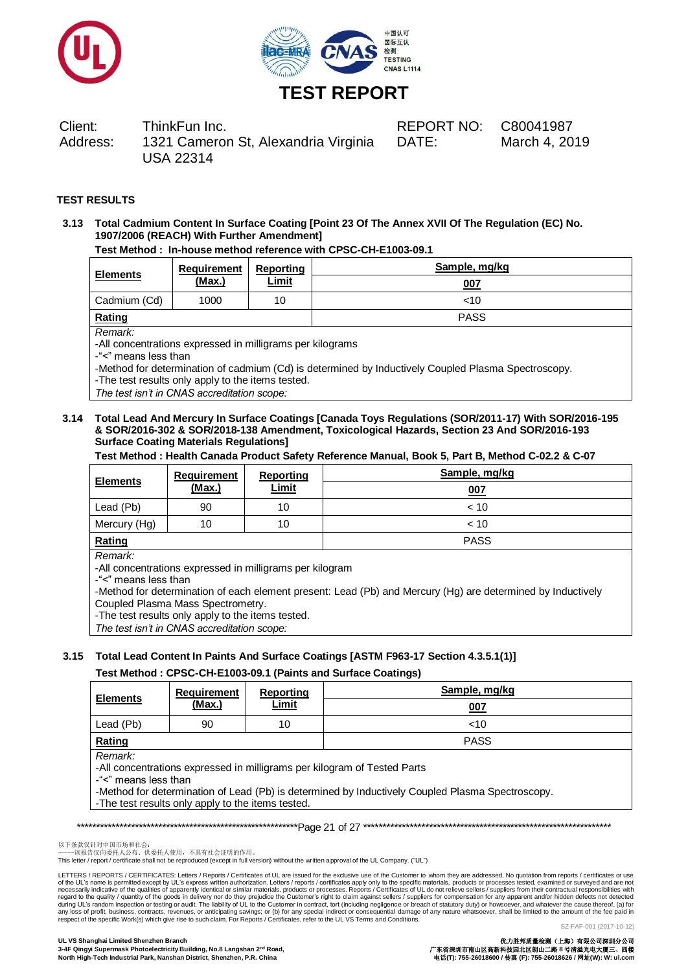



## Client: ThinkFun Inc. REPORT NO: C80041987 Address: 1321 Cameron St, Alexandria Virginia USA 22314

DATE: March 4, 2019

## **TEST RESULTS**

### **3.13 Total Cadmium Content In Surface Coating [Point 23 Of The Annex XVII Of The Regulation (EC) No. 1907/2006 (REACH) With Further Amendment]**

### **Test Method : In-house method reference with CPSC-CH-E1003-09.1**

| <b>Elements</b> | <b>Requirement</b> | Reporting    | Sample, mg/kg |
|-----------------|--------------------|--------------|---------------|
|                 | (Max.)             | <u>Limit</u> | 007           |
| Cadmium (Cd)    | 1000               | 10           | ~10           |
| Rating          |                    |              | <b>PASS</b>   |

*Remark:*

-All concentrations expressed in milligrams per kilograms

-"<" means less than

-Method for determination of cadmium (Cd) is determined by Inductively Coupled Plasma Spectroscopy.

-The test results only apply to the items tested.

*The test isn't in CNAS accreditation scope:*

### **3.14 Total Lead And Mercury In Surface Coatings [Canada Toys Regulations (SOR/2011-17) With SOR/2016-195 & SOR/2016-302 & SOR/2018-138 Amendment, Toxicological Hazards, Section 23 And SOR/2016-193 Surface Coating Materials Regulations]**

#### **Test Method : Health Canada Product Safety Reference Manual, Book 5, Part B, Method C-02.2 & C-07**

| <b>Elements</b> | Requirement | <b>Reporting</b> | Sample, mg/kg |
|-----------------|-------------|------------------|---------------|
|                 | (Max.)      | <u>Limit</u>     | <u>007</u>    |
| Lead (Pb)       | 90          | 10               | ~< 10         |
| Mercury (Hg)    | 10          | 10               | ~< 10         |
| Rating          |             |                  | <b>PASS</b>   |

*Remark:*

-All concentrations expressed in milligrams per kilogram

-"<" means less than

-Method for determination of each element present: Lead (Pb) and Mercury (Hg) are determined by Inductively Coupled Plasma Mass Spectrometry.

-The test results only apply to the items tested.

*The test isn't in CNAS accreditation scope:*

## **3.15 Total Lead Content In Paints And Surface Coatings [ASTM F963-17 Section 4.3.5.1(1)]**

### **Test Method : CPSC-CH-E1003-09.1 (Paints and Surface Coatings)**

| <b>Elements</b>                                                                                                                                                                                                                                                      | <b>Requirement</b> | Reporting    | Sample, mg/kg |  |  |
|----------------------------------------------------------------------------------------------------------------------------------------------------------------------------------------------------------------------------------------------------------------------|--------------------|--------------|---------------|--|--|
|                                                                                                                                                                                                                                                                      | (Max.)             | <b>Limit</b> | 007           |  |  |
| Lead (Pb)                                                                                                                                                                                                                                                            | 90                 | 10           | $<$ 10        |  |  |
| Rating<br><b>PASS</b>                                                                                                                                                                                                                                                |                    |              |               |  |  |
| Remark:<br>-All concentrations expressed in milligrams per kilogram of Tested Parts<br>-"<" means less than<br>-Method for determination of Lead (Pb) is determined by Inductively Coupled Plasma Spectroscopy.<br>-The test results only apply to the items tested. |                    |              |               |  |  |

\*\*\*\*\*\*\*\*\*\*\*\*\*\*\*\*\*\*\*\*\*\*\*\*\*\*\*\*\*\*\*\*\*\*\*\*\*\*\*\*\*\*\*\*\*\*\*\*\*\*\*\*\*\*\*\*\*Page 21 of 27 \*\*\*\*\*\*\*\*\*\*\*\*\*\*\*\*\*\*\*\*\*\*\*\*\*\*\*\*\*\*\*\*\*\*\*\*\*\*\*\*\*\*\*\*\*\*\*\*\*\*\*\*\*\*\*\*\*\*\*\*\*\*\*\*

以下条款仅针对中国市场和社会:<br>-----该报告仅向委托人公布、供委托人使用,不具有社会证明的作用。

This letter / report / certificate shall not be reproduced (except in full version) without the written approval of the UL Company. ("UL")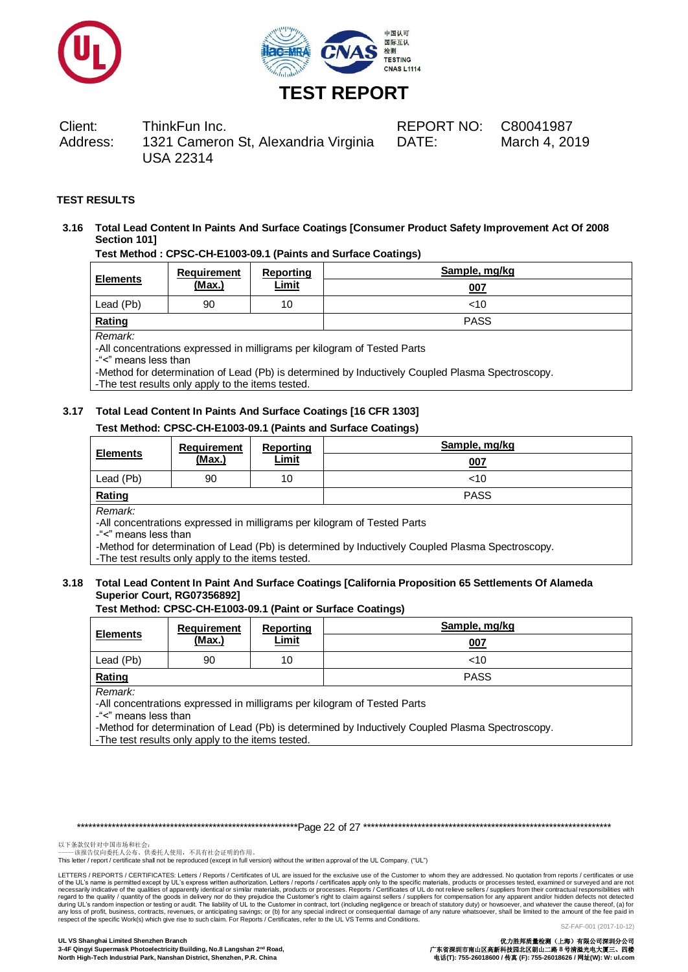



Client: ThinkFun Inc. REPORT NO: C80041987 Address: 1321 Cameron St, Alexandria Virginia USA 22314

DATE: March 4, 2019

## **TEST RESULTS**

## **3.16 Total Lead Content In Paints And Surface Coatings [Consumer Product Safety Improvement Act Of 2008 Section 101]**

**Test Method : CPSC-CH-E1003-09.1 (Paints and Surface Coatings)**

| <b>Elements</b>     | <b>Requirement</b><br>(Max.) | Reporting<br><b>Limit</b> | Sample, mg/kg<br>007 |
|---------------------|------------------------------|---------------------------|----------------------|
| Lead (Pb)           | 90                           | 10                        | 10<                  |
| Rating              |                              |                           | <b>PASS</b>          |
| Remark <sup>.</sup> |                              |                           |                      |

*Remark:*

-All concentrations expressed in milligrams per kilogram of Tested Parts

-"<" means less than

-Method for determination of Lead (Pb) is determined by Inductively Coupled Plasma Spectroscopy.

-The test results only apply to the items tested.

### **3.17 Total Lead Content In Paints And Surface Coatings [16 CFR 1303]**

### **Test Method: CPSC-CH-E1003-09.1 (Paints and Surface Coatings)**

| <b>Elements</b> | Requirement | Reporting    | Sample, mg/kg |     |
|-----------------|-------------|--------------|---------------|-----|
|                 | (Max.)      | <b>Limit</b> |               | 007 |
| Lead (Pb)       | 90          | 10           | $<$ 10        |     |
| Rating          |             |              | <b>PASS</b>   |     |
| Remark:         |             |              |               |     |

-All concentrations expressed in milligrams per kilogram of Tested Parts

-"<" means less than

-Method for determination of Lead (Pb) is determined by Inductively Coupled Plasma Spectroscopy.

-The test results only apply to the items tested.

### **3.18 Total Lead Content In Paint And Surface Coatings [California Proposition 65 Settlements Of Alameda Superior Court, RG07356892]**

#### **Test Method: CPSC-CH-E1003-09.1 (Paint or Surface Coatings)**

| <b>Elements</b>                                                                     | <b>Requirement</b><br><u>(Max.)</u> | Reporting<br><b>Limit</b> | Sample, mg/kg<br>007 |  |  |
|-------------------------------------------------------------------------------------|-------------------------------------|---------------------------|----------------------|--|--|
| Lead (Pb)                                                                           | 90                                  | 10                        | <10                  |  |  |
| Rating                                                                              |                                     |                           | <b>PASS</b>          |  |  |
| Remark:<br>-All concentrations expressed in milligrams per kilogram of Tested Parts |                                     |                           |                      |  |  |

-"<" means less than -Method for determination of Lead (Pb) is determined by Inductively Coupled Plasma Spectroscopy.

-The test results only apply to the items tested.

\*\*\*\*\*\*\*\*\*\*\*\*\*\*\*\*\*\*\*\*\*\*\*\*\*\*\*\*\*\*\*\*\*\*\*\*\*\*\*\*\*\*\*\*\*\*\*\*\*\*\*\*\*\*\*\*\*Page 22 of 27 \*\*\*\*\*\*\*\*\*\*\*\*\*\*\*\*\*\*\*\*\*\*\*\*\*\*\*\*\*\*\*\*\*\*\*\*\*\*\*\*\*\*\*\*\*\*\*\*\*\*\*\*\*\*\*\*\*\*\*\*\*\*\*\*

以下条款仅针对中国市场和社会:<br>-----该报告仅向委托人公布、供委托人使用,不具有社会证明的作用。

This letter / report / certificate shall not be reproduced (except in full version) without the written approval of the UL Company. ("UL")

LETTERS / REPORTS / CERTIFICATES: Letters / Reports / Certificates of UL are issued for the exclusive use of the Customer to whom they are addressed. No quotation from reports / certificates or use of the UL's name is permitted except by UL's express written authorization. Letters / reports / certificates apply only to the specific materials, products or processes tested, examined or surveyed and are not necessarily indicative of the qualities of apparently identical or similar materials, products or processes. Reports / Certificates of UL do not relieve sellers / suppliers from their contractual responsibilities with<br>duri respect of the specific Work(s) which give rise to such claim. For Reports / Certificates, refer to the UL VS Terms and Conditions.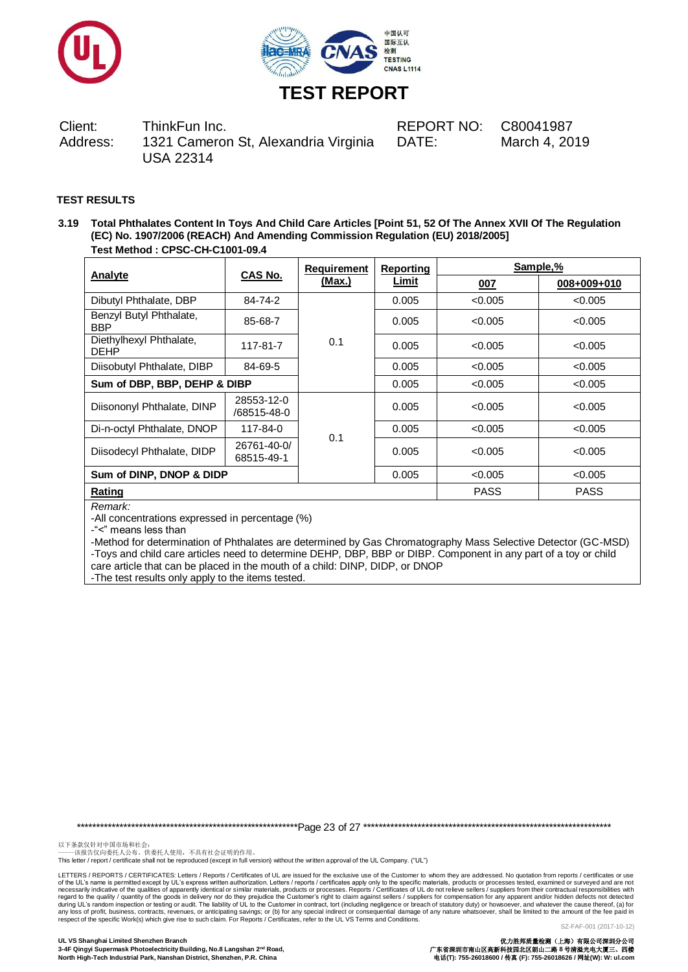



Client: ThinkFun Inc. REPORT NO: C80041987 Address: 1321 Cameron St, Alexandria Virginia USA 22314

DATE: March 4, 2019

## **TEST RESULTS**

**3.19 Total Phthalates Content In Toys And Child Care Articles [Point 51, 52 Of The Annex XVII Of The Regulation (EC) No. 1907/2006 (REACH) And Amending Commission Regulation (EU) 2018/2005] Test Method : CPSC-CH-C1001-09.4**

|                                        |                           | Requirement | Reporting    | Sample,%    |             |  |
|----------------------------------------|---------------------------|-------------|--------------|-------------|-------------|--|
| Analyte                                | <b>CAS No.</b>            | (Max.)      | <b>Limit</b> | 007         | 008+009+010 |  |
| Dibutyl Phthalate, DBP                 | 84-74-2                   |             | 0.005        | < 0.005     | < 0.005     |  |
| Benzyl Butyl Phthalate,<br><b>BBP</b>  | 85-68-7                   |             | 0.005        | < 0.005     | < 0.005     |  |
| Diethylhexyl Phthalate,<br><b>DEHP</b> | 117-81-7                  | 0.1         | 0.005        | < 0.005     | < 0.005     |  |
| Diisobutyl Phthalate, DIBP             | 84-69-5                   |             | 0.005        | < 0.005     | < 0.005     |  |
| Sum of DBP, BBP, DEHP & DIBP           |                           | 0.005       | < 0.005      | < 0.005     |             |  |
| Diisononyl Phthalate, DINP             | 28553-12-0<br>/68515-48-0 |             | 0.005        | < 0.005     | < 0.005     |  |
| Di-n-octyl Phthalate, DNOP             | 117-84-0                  | 0.1         | 0.005        | < 0.005     | < 0.005     |  |
| Diisodecyl Phthalate, DIDP             | 26761-40-0/<br>68515-49-1 |             | 0.005        | < 0.005     | < 0.005     |  |
| Sum of DINP, DNOP & DIDP               |                           | 0.005       | < 0.005      | < 0.005     |             |  |
| Rating                                 |                           |             |              | <b>PASS</b> | <b>PASS</b> |  |
| Domorly                                |                           |             |              |             |             |  |

*Remark:*

-All concentrations expressed in percentage (%)

-"<" means less than

-Method for determination of Phthalates are determined by Gas Chromatography Mass Selective Detector (GC-MSD) -Toys and child care articles need to determine DEHP, DBP, BBP or DIBP. Component in any part of a toy or child care article that can be placed in the mouth of a child: DINP, DIDP, or DNOP

-The test results only apply to the items tested.

\*\*\*\*\*\*\*\*\*\*\*\*\*\*\*\*\*\*\*\*\*\*\*\*\*\*\*\*\*\*\*\*\*\*\*\*\*\*\*\*\*\*\*\*\*\*\*\*\*\*\*\*\*\*\*\*\*Page 23 of 27 \*\*\*\*\*\*\*\*\*\*\*\*\*\*\*\*\*\*\*\*\*\*\*\*\*\*\*\*\*\*\*\*\*\*\*\*\*\*\*\*\*\*\*\*\*\*\*\*\*\*\*\*\*\*\*\*\*\*\*\*\*\*\*\*

以下条款仅针对中国市场和社会:<br>-----该报告仅向委托人公布、供委托人使用,不具有社会证明的作用。

This letter / report / certificate shall not be reproduced (except in full version) without the written approval of the UL Company. ("UL")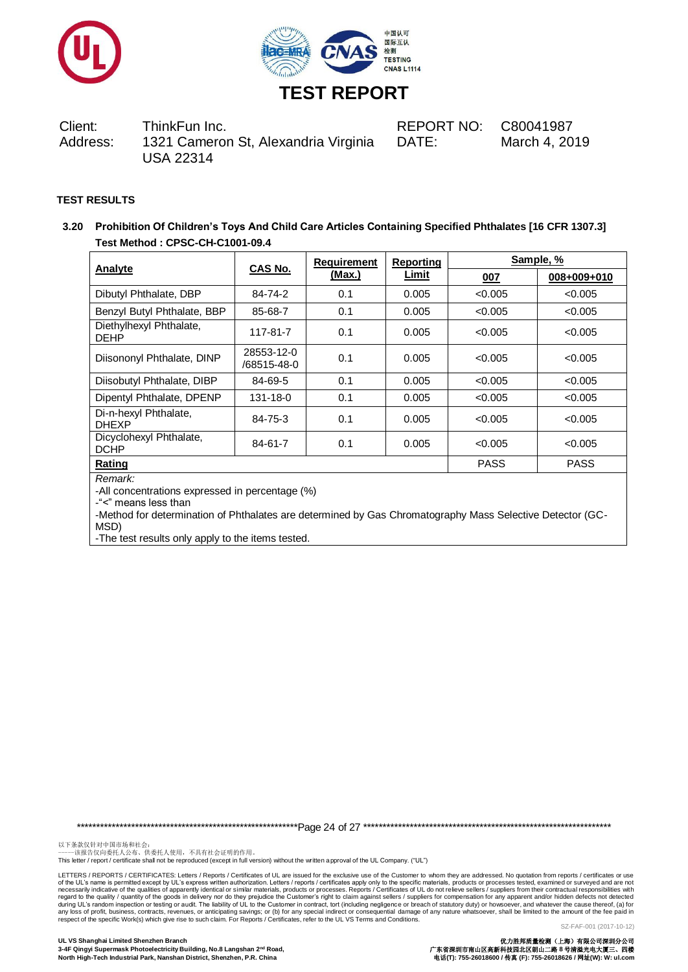



Client: ThinkFun Inc. REPORT NO: C80041987 Address: 1321 Cameron St, Alexandria Virginia USA 22314

DATE: March 4, 2019

## **TEST RESULTS**

**3.20 Prohibition Of Children's Toys And Child Care Articles Containing Specified Phthalates [16 CFR 1307.3] Test Method : CPSC-CH-C1001-09.4**

| Analyte                                | CAS No.                   | <b>Requirement</b> | Reporting | Sample, %   |             |  |
|----------------------------------------|---------------------------|--------------------|-----------|-------------|-------------|--|
|                                        |                           | <u>(Max.)</u>      | Limit     | <u>007</u>  | 008+009+010 |  |
| Dibutyl Phthalate, DBP                 | 84-74-2                   | 0.1                | 0.005     | < 0.005     | < 0.005     |  |
| Benzyl Butyl Phthalate, BBP            | 85-68-7                   | 0.1                | 0.005     | < 0.005     | < 0.005     |  |
| Diethylhexyl Phthalate,<br><b>DEHP</b> | 117-81-7                  | 0.1                | 0.005     | < 0.005     | < 0.005     |  |
| Diisononyl Phthalate, DINP             | 28553-12-0<br>/68515-48-0 | 0.1                | 0.005     | < 0.005     | < 0.005     |  |
| Diisobutyl Phthalate, DIBP             | 84-69-5                   | 0.1                | 0.005     | < 0.005     | < 0.005     |  |
| Dipentyl Phthalate, DPENP              | 131-18-0                  | 0.1                | 0.005     | < 0.005     | < 0.005     |  |
| Di-n-hexyl Phthalate,<br><b>DHEXP</b>  | 84-75-3                   | 0.1                | 0.005     | < 0.005     | < 0.005     |  |
| Dicyclohexyl Phthalate,<br><b>DCHP</b> | 84-61-7                   | 0.1                | 0.005     | < 0.005     | < 0.005     |  |
| Rating                                 |                           |                    |           | <b>PASS</b> | <b>PASS</b> |  |

*Remark:*

-All concentrations expressed in percentage (%)

-"<" means less than

-Method for determination of Phthalates are determined by Gas Chromatography Mass Selective Detector (GC-MSD)

-The test results only apply to the items tested.

\*\*\*\*\*\*\*\*\*\*\*\*\*\*\*\*\*\*\*\*\*\*\*\*\*\*\*\*\*\*\*\*\*\*\*\*\*\*\*\*\*\*\*\*\*\*\*\*\*\*\*\*\*\*\*\*\*Page 24 of 27 \*\*\*\*\*\*\*\*\*\*\*\*\*\*\*\*\*\*\*\*\*\*\*\*\*\*\*\*\*\*\*\*\*\*\*\*\*\*\*\*\*\*\*\*\*\*\*\*\*\*\*\*\*\*\*\*\*\*\*\*\*\*\*\*

以下条款仅针对中国市场和社会:<br>-----该报告仅向委托人公布、供委托人使用,不具有社会证明的作用。

This letter / report / certificate shall not be reproduced (except in full version) without the written approval of the UL Company. ("UL")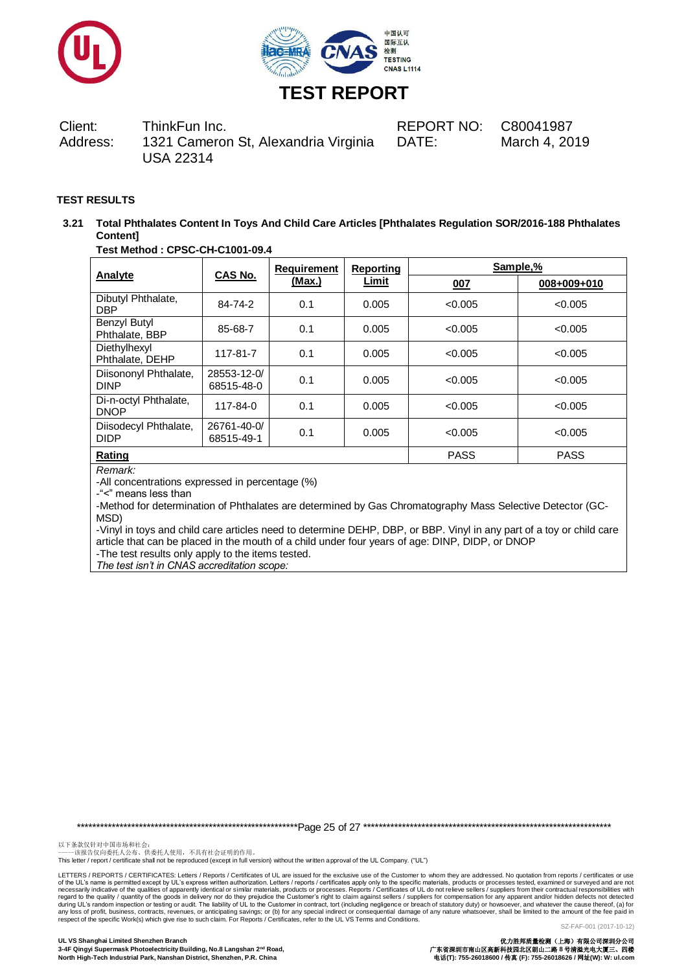



Client: ThinkFun Inc. REPORT NO: C80041987 Address: 1321 Cameron St, Alexandria Virginia USA 22314

DATE: March 4, 2019

## **TEST RESULTS**

**3.21 Total Phthalates Content In Toys And Child Care Articles [Phthalates Regulation SOR/2016-188 Phthalates Content]**

## **Test Method : CPSC-CH-C1001-09.4**

|                                      | <b>CAS No.</b>            | <b>Requirement</b> | <b>Reporting</b> | Sample,%    |             |  |
|--------------------------------------|---------------------------|--------------------|------------------|-------------|-------------|--|
| Analyte                              |                           | (Max.)             | Limit            | 007         | 008+009+010 |  |
| Dibutyl Phthalate,<br><b>DBP</b>     | 84-74-2                   | 0.1                | 0.005            | < 0.005     | < 0.005     |  |
| Benzyl Butyl<br>Phthalate, BBP       | 85-68-7                   | 0.1                | 0.005            | < 0.005     | < 0.005     |  |
| Diethylhexyl<br>Phthalate, DEHP      | 117-81-7                  | 0.1                | 0.005            | < 0.005     | < 0.005     |  |
| Diisononyl Phthalate,<br><b>DINP</b> | 28553-12-0/<br>68515-48-0 | 0.1                | 0.005            | < 0.005     | < 0.005     |  |
| Di-n-octyl Phthalate,<br><b>DNOP</b> | 117-84-0                  | 0.1                | 0.005            | < 0.005     | < 0.005     |  |
| Diisodecyl Phthalate,<br><b>DIDP</b> | 26761-40-0/<br>68515-49-1 | 0.1                | 0.005            | < 0.005     | < 0.005     |  |
| Rating                               |                           |                    |                  | <b>PASS</b> | <b>PASS</b> |  |

## *Remark:*

-All concentrations expressed in percentage (%)

-"<" means less than

-Method for determination of Phthalates are determined by Gas Chromatography Mass Selective Detector (GC-MSD)

-Vinyl in toys and child care articles need to determine DEHP, DBP, or BBP. Vinyl in any part of a toy or child care article that can be placed in the mouth of a child under four years of age: DINP, DIDP, or DNOP

-The test results only apply to the items tested.

*The test isn't in CNAS accreditation scope:*

\*\*\*\*\*\*\*\*\*\*\*\*\*\*\*\*\*\*\*\*\*\*\*\*\*\*\*\*\*\*\*\*\*\*\*\*\*\*\*\*\*\*\*\*\*\*\*\*\*\*\*\*\*\*\*\*\*Page 25 of 27 \*\*\*\*\*\*\*\*\*\*\*\*\*\*\*\*\*\*\*\*\*\*\*\*\*\*\*\*\*\*\*\*\*\*\*\*\*\*\*\*\*\*\*\*\*\*\*\*\*\*\*\*\*\*\*\*\*\*\*\*\*\*\*\*

以下条款仅针对中国市场和社会:<br>-----该报告仅向委托人公布、供委托人使用,不具有社会证明的作用。

This letter / report / certificate shall not be reproduced (except in full version) without the written approval of the UL Company. ("UL")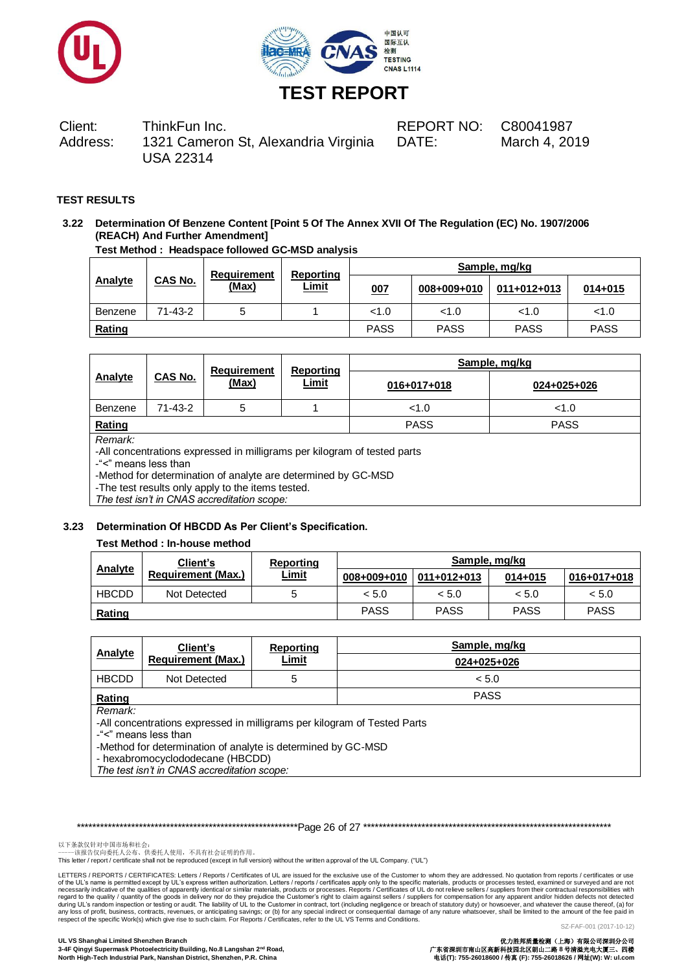



Client: ThinkFun Inc. REPORT NO: C80041987 Address: 1321 Cameron St, Alexandria Virginia USA 22314

DATE: March 4, 2019

## **TEST RESULTS**

## **3.22 Determination Of Benzene Content [Point 5 Of The Annex XVII Of The Regulation (EC) No. 1907/2006 (REACH) And Further Amendment]**

**Test Method : Headspace followed GC-MSD analysis**

|         |                | <b>Requirement</b> | Reporting    | Sample, mg/kg |             |             |             |
|---------|----------------|--------------------|--------------|---------------|-------------|-------------|-------------|
| Analyte | <b>CAS No.</b> | (Max)              | <u>Limit</u> | 007           | 008+009+010 | 011+012+013 | $014 + 015$ |
| Benzene | 71-43-2        | <sub>5</sub>       |              | < 1.0         | < 1.0       | 1.0         | < 1.0       |
| Rating  |                |                    |              | <b>PASS</b>   | <b>PASS</b> | <b>PASS</b> | <b>PASS</b> |

|                                                                                                                                                                                                                                 |               | <b>Requirement</b> | Reporting    | Sample, mg/kg |             |  |
|---------------------------------------------------------------------------------------------------------------------------------------------------------------------------------------------------------------------------------|---------------|--------------------|--------------|---------------|-------------|--|
| CAS No.<br>Analyte                                                                                                                                                                                                              |               | (Max)              | <u>Limit</u> | 016+017+018   | 024+025+026 |  |
| Benzene                                                                                                                                                                                                                         | $71 - 43 - 2$ | 5                  |              | < 1.0         | < 1.0       |  |
| Rating                                                                                                                                                                                                                          |               |                    |              | <b>PASS</b>   | <b>PASS</b> |  |
| Remark:<br>-All concentrations expressed in milligrams per kilogram of tested parts<br>-"<" means less than<br>-Method for determination of analyte are determined by GC-MSD<br>The test results only annly to the items tested |               |                    |              |               |             |  |

apply to the items tested. *The test isn't in CNAS accreditation scope:*

### **3.23 Determination Of HBCDD As Per Client's Specification.**

### **Test Method : In-house method**

|                | Client's                  | Reporting    | Sample, mg/kg               |             |             |             |
|----------------|---------------------------|--------------|-----------------------------|-------------|-------------|-------------|
| <b>Analyte</b> | <b>Requirement (Max.)</b> | <b>Limit</b> | $008+009+010$   011+012+013 |             | $014 + 015$ | 016+017+018 |
| <b>HBCDD</b>   | Not Detected              |              | < 5.0                       | < 5.0       | < 5.0       | < 5.0       |
| Rating         |                           |              | <b>PASS</b>                 | <b>PASS</b> | <b>PASS</b> | <b>PASS</b> |

|                                                              | Client's                                                                 | Reporting    | Sample, mg/kg |  |  |  |
|--------------------------------------------------------------|--------------------------------------------------------------------------|--------------|---------------|--|--|--|
| <b>Analyte</b>                                               | <b>Requirement (Max.)</b>                                                | <b>Limit</b> | 024+025+026   |  |  |  |
| <b>HBCDD</b>                                                 | Not Detected                                                             | 5            | < 5.0         |  |  |  |
| Rating                                                       |                                                                          |              | <b>PASS</b>   |  |  |  |
| Remark:                                                      |                                                                          |              |               |  |  |  |
|                                                              | -All concentrations expressed in milligrams per kilogram of Tested Parts |              |               |  |  |  |
| -"<" means less than                                         |                                                                          |              |               |  |  |  |
| -Method for determination of analyte is determined by GC-MSD |                                                                          |              |               |  |  |  |
| - hexabromocyclododecane (HBCDD)                             |                                                                          |              |               |  |  |  |
| The test isn't in CNAS accreditation scope:                  |                                                                          |              |               |  |  |  |

\*\*\*\*\*\*\*\*\*\*\*\*\*\*\*\*\*\*\*\*\*\*\*\*\*\*\*\*\*\*\*\*\*\*\*\*\*\*\*\*\*\*\*\*\*\*\*\*\*\*\*\*\*\*\*\*\*Page 26 of 27 \*\*\*\*\*\*\*\*\*\*\*\*\*\*\*\*\*\*\*\*\*\*\*\*\*\*\*\*\*\*\*\*\*\*\*\*\*\*\*\*\*\*\*\*\*\*\*\*\*\*\*\*\*\*\*\*\*\*\*\*\*\*\*\*

以下条款仅针对中国市场和社会:<br>-----该报告仅向委托人公布、供委托人使用,不具有社会证明的作用。

This letter / report / certificate shall not be reproduced (except in full version) without the written approval of the UL Company. ("UL")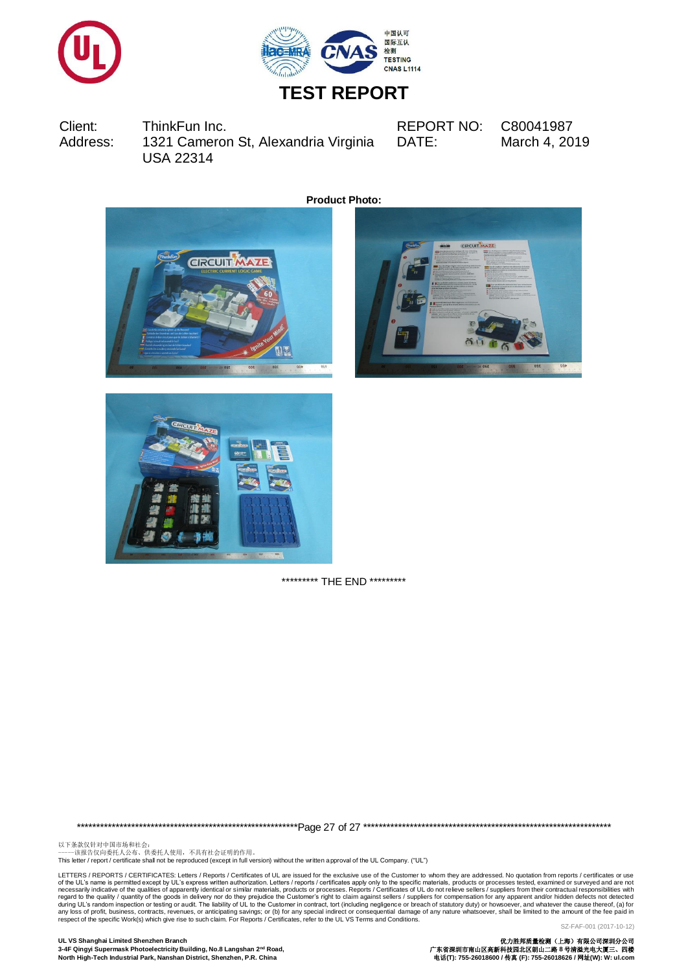



Client: ThinkFun Inc. REPORT NO: C80041987 Address: 1321 Cameron St, Alexandria Virginia USA 22314

DATE: March 4, 2019

**Product Photo:**







\*\*\*\*\*\*\*\*\*\* THE END \*\*\*\*\*\*\*\*\*

\*\*\*\*\*\*\*\*\*\*\*\*\*\*\*\*\*\*\*\*\*\*\*\*\*\*\*\*\*\*\*\*\*\*\*\*\*\*\*\*\*\*\*\*\*\*\*\*\*\*\*\*\*\*\*\*\*Page 27 of 27 \*\*\*\*\*\*\*\*\*\*\*\*\*\*\*\*\*\*\*\*\*\*\*\*\*\*\*\*\*\*\*\*\*\*\*\*\*\*\*\*\*\*\*\*\*\*\*\*\*\*\*\*\*\*\*\*\*\*\*\*\*\*\*\*

以下条款仅针对中国市场和社会:<br>-----该报告仅向委托人公布、供委托人使用,不具有社会证明的作用。

This letter / report / certificate shall not be reproduced (except in full version) without the written approval of the UL Company. ("UL")